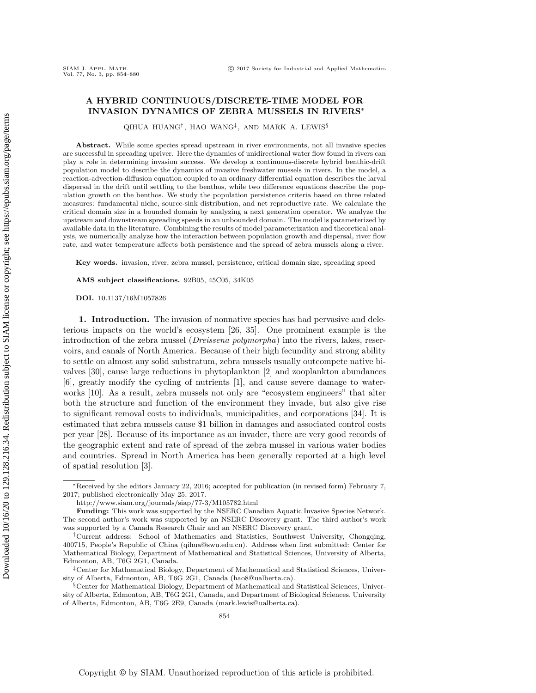## A HYBRID CONTINUOUS/DISCRETE-TIME MODEL FOR INVASION DYNAMICS OF ZEBRA MUSSELS IN RIVERS<sup>∗</sup>

QIHUA HUANG† , HAO WANG‡ , AND MARK A. LEWIS§

Abstract. While some species spread upstream in river environments, not all invasive species are successful in spreading upriver. Here the dynamics of unidirectional water flow found in rivers can play a role in determining invasion success. We develop a continuous-discrete hybrid benthic-drift population model to describe the dynamics of invasive freshwater mussels in rivers. In the model, a reaction-advection-diffusion equation coupled to an ordinary differential equation describes the larval dispersal in the drift until settling to the benthos, while two difference equations describe the population growth on the benthos. We study the population persistence criteria based on three related measures: fundamental niche, source-sink distribution, and net reproductive rate. We calculate the critical domain size in a bounded domain by analyzing a next generation operator. We analyze the upstream and downstream spreading speeds in an unbounded domain. The model is parameterized by available data in the literature. Combining the results of model parameterization and theoretical analysis, we numerically analyze how the interaction between population growth and dispersal, river flow rate, and water temperature affects both persistence and the spread of zebra mussels along a river.

Key words. invasion, river, zebra mussel, persistence, critical domain size, spreading speed

AMS subject classifications. 92B05, 45C05, 34K05

DOI. 10.1137/16M1057826

<span id="page-0-0"></span>SIAM J. APPL. MATH.<br>Vol. 77, No. 3, pp. 854–880

1. Introduction. The invasion of nonnative species has had pervasive and deleterious impacts on the world's ecosystem [\[26,](#page-26-0) [35\]](#page-26-1). One prominent example is the introduction of the zebra mussel (*Dreissena polymorpha*) into the rivers, lakes, reservoirs, and canals of North America. Because of their high fecundity and strong ability to settle on almost any solid substratum, zebra mussels usually outcompete native bivalves [\[30\]](#page-26-2), cause large reductions in phytoplankton [\[2\]](#page-25-0) and zooplankton abundances [\[6\]](#page-25-1), greatly modify the cycling of nutrients [\[1\]](#page-25-2), and cause severe damage to waterworks [\[10\]](#page-25-3). As a result, zebra mussels not only are "ecosystem engineers" that alter both the structure and function of the environment they invade, but also give rise to significant removal costs to individuals, municipalities, and corporations [\[34\]](#page-26-3). It is estimated that zebra mussels cause \$1 billion in damages and associated control costs per year [\[28\]](#page-26-4). Because of its importance as an invader, there are very good records of the geographic extent and rate of spread of the zebra mussel in various water bodies and countries. Spread in North America has been generally reported at a high level of spatial resolution [\[3\]](#page-25-4).

<sup>∗</sup>Received by the editors January 22, 2016; accepted for publication (in revised form) February 7, 2017; published electronically May 25, 2017.

<http://www.siam.org/journals/siap/77-3/M105782.html>

Funding: This work was supported by the NSERC Canadian Aquatic Invasive Species Network. The second author's work was supported by an NSERC Discovery grant. The third author's work was supported by a Canada Research Chair and an NSERC Discovery grant.

<sup>†</sup>Current address: School of Mathematics and Statistics, Southwest University, Chongqing, 400715, People's Republic of China [\(qihua@swu.edu.cn\)](mailto:qihua@swu.edu.cn). Address when first submitted: Center for Mathematical Biology, Department of Mathematical and Statistical Sciences, University of Alberta, Edmonton, AB, T6G 2G1, Canada.

<sup>‡</sup>Center for Mathematical Biology, Department of Mathematical and Statistical Sciences, University of Alberta, Edmonton, AB, T6G 2G1, Canada [\(hao8@ualberta.ca\)](mailto:hao8@ualberta.ca).

<sup>§</sup>Center for Mathematical Biology, Department of Mathematical and Statistical Sciences, University of Alberta, Edmonton, AB, T6G 2G1, Canada, and Department of Biological Sciences, University of Alberta, Edmonton, AB, T6G 2E9, Canada [\(mark.lewis@ualberta.ca\)](mailto:mark.lewis@ualberta.ca).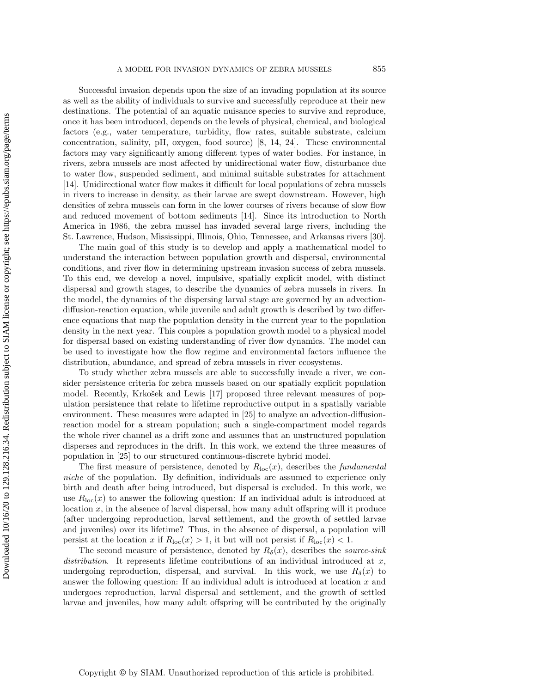Successful invasion depends upon the size of an invading population at its source as well as the ability of individuals to survive and successfully reproduce at their new destinations. The potential of an aquatic nuisance species to survive and reproduce, once it has been introduced, depends on the levels of physical, chemical, and biological factors (e.g., water temperature, turbidity, flow rates, suitable substrate, calcium concentration, salinity, pH, oxygen, food source) [\[8,](#page-25-5) [14,](#page-26-5) [24\]](#page-26-6). These environmental factors may vary significantly among different types of water bodies. For instance, in rivers, zebra mussels are most affected by unidirectional water flow, disturbance due to water flow, suspended sediment, and minimal suitable substrates for attachment [\[14\]](#page-26-5). Unidirectional water flow makes it difficult for local populations of zebra mussels in rivers to increase in density, as their larvae are swept downstream. However, high densities of zebra mussels can form in the lower courses of rivers because of slow flow and reduced movement of bottom sediments [\[14\]](#page-26-5). Since its introduction to North America in 1986, the zebra mussel has invaded several large rivers, including the St. Lawrence, Hudson, Mississippi, Illinois, Ohio, Tennessee, and Arkansas rivers [\[30\]](#page-26-2).

The main goal of this study is to develop and apply a mathematical model to understand the interaction between population growth and dispersal, environmental conditions, and river flow in determining upstream invasion success of zebra mussels. To this end, we develop a novel, impulsive, spatially explicit model, with distinct dispersal and growth stages, to describe the dynamics of zebra mussels in rivers. In the model, the dynamics of the dispersing larval stage are governed by an advectiondiffusion-reaction equation, while juvenile and adult growth is described by two difference equations that map the population density in the current year to the population density in the next year. This couples a population growth model to a physical model for dispersal based on existing understanding of river flow dynamics. The model can be used to investigate how the flow regime and environmental factors influence the distribution, abundance, and spread of zebra mussels in river ecosystems.

To study whether zebra mussels are able to successfully invade a river, we consider persistence criteria for zebra mussels based on our spatially explicit population model. Recently, Krkošek and Lewis [\[17\]](#page-26-7) proposed three relevant measures of population persistence that relate to lifetime reproductive output in a spatially variable environment. These measures were adapted in [\[25\]](#page-26-8) to analyze an advection-diffusionreaction model for a stream population; such a single-compartment model regards the whole river channel as a drift zone and assumes that an unstructured population disperses and reproduces in the drift. In this work, we extend the three measures of population in [\[25\]](#page-26-8) to our structured continuous-discrete hybrid model.

The first measure of persistence, denoted by  $R_{\text{loc}}(x)$ , describes the *fundamental* niche of the population. By definition, individuals are assumed to experience only birth and death after being introduced, but dispersal is excluded. In this work, we use  $R_{\text{loc}}(x)$  to answer the following question: If an individual adult is introduced at location  $x$ , in the absence of larval dispersal, how many adult offspring will it produce (after undergoing reproduction, larval settlement, and the growth of settled larvae and juveniles) over its lifetime? Thus, in the absence of dispersal, a population will persist at the location x if  $R_{\text{loc}}(x) > 1$ , it but will not persist if  $R_{\text{loc}}(x) < 1$ .

The second measure of persistence, denoted by  $R_{\delta}(x)$ , describes the *source-sink* distribution. It represents lifetime contributions of an individual introduced at  $x$ , undergoing reproduction, dispersal, and survival. In this work, we use  $R_{\delta}(x)$  to answer the following question: If an individual adult is introduced at location x and undergoes reproduction, larval dispersal and settlement, and the growth of settled larvae and juveniles, how many adult offspring will be contributed by the originally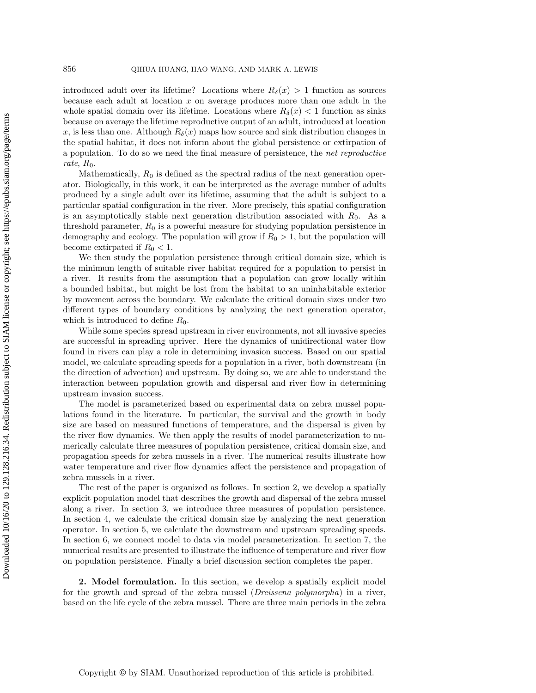introduced adult over its lifetime? Locations where  $R_\delta(x) > 1$  function as sources because each adult at location  $x$  on average produces more than one adult in the whole spatial domain over its lifetime. Locations where  $R_{\delta}(x) < 1$  function as sinks because on average the lifetime reproductive output of an adult, introduced at location x, is less than one. Although  $R_\delta(x)$  maps how source and sink distribution changes in the spatial habitat, it does not inform about the global persistence or extirpation of a population. To do so we need the final measure of persistence, the net reproductive rate,  $R_0$ .

Mathematically,  $R_0$  is defined as the spectral radius of the next generation operator. Biologically, in this work, it can be interpreted as the average number of adults produced by a single adult over its lifetime, assuming that the adult is subject to a particular spatial configuration in the river. More precisely, this spatial configuration is an asymptotically stable next generation distribution associated with  $R_0$ . As a threshold parameter,  $R_0$  is a powerful measure for studying population persistence in demography and ecology. The population will grow if  $R_0 > 1$ , but the population will become extirpated if  $R_0 < 1$ .

We then study the population persistence through critical domain size, which is the minimum length of suitable river habitat required for a population to persist in a river. It results from the assumption that a population can grow locally within a bounded habitat, but might be lost from the habitat to an uninhabitable exterior by movement across the boundary. We calculate the critical domain sizes under two different types of boundary conditions by analyzing the next generation operator, which is introduced to define  $R_0$ .

While some species spread upstream in river environments, not all invasive species are successful in spreading upriver. Here the dynamics of unidirectional water flow found in rivers can play a role in determining invasion success. Based on our spatial model, we calculate spreading speeds for a population in a river, both downstream (in the direction of advection) and upstream. By doing so, we are able to understand the interaction between population growth and dispersal and river flow in determining upstream invasion success.

The model is parameterized based on experimental data on zebra mussel populations found in the literature. In particular, the survival and the growth in body size are based on measured functions of temperature, and the dispersal is given by the river flow dynamics. We then apply the results of model parameterization to numerically calculate three measures of population persistence, critical domain size, and propagation speeds for zebra mussels in a river. The numerical results illustrate how water temperature and river flow dynamics affect the persistence and propagation of zebra mussels in a river.

The rest of the paper is organized as follows. In section [2,](#page-2-0) we develop a spatially explicit population model that describes the growth and dispersal of the zebra mussel along a river. In section [3,](#page-5-0) we introduce three measures of population persistence. In section [4,](#page-9-0) we calculate the critical domain size by analyzing the next generation operator. In section [5,](#page-10-0) we calculate the downstream and upstream spreading speeds. In section [6,](#page-14-0) we connect model to data via model parameterization. In section [7,](#page-14-1) the numerical results are presented to illustrate the influence of temperature and river flow on population persistence. Finally a brief discussion section completes the paper.

<span id="page-2-0"></span>2. Model formulation. In this section, we develop a spatially explicit model for the growth and spread of the zebra mussel (*Dreissena polymorpha*) in a river, based on the life cycle of the zebra mussel. There are three main periods in the zebra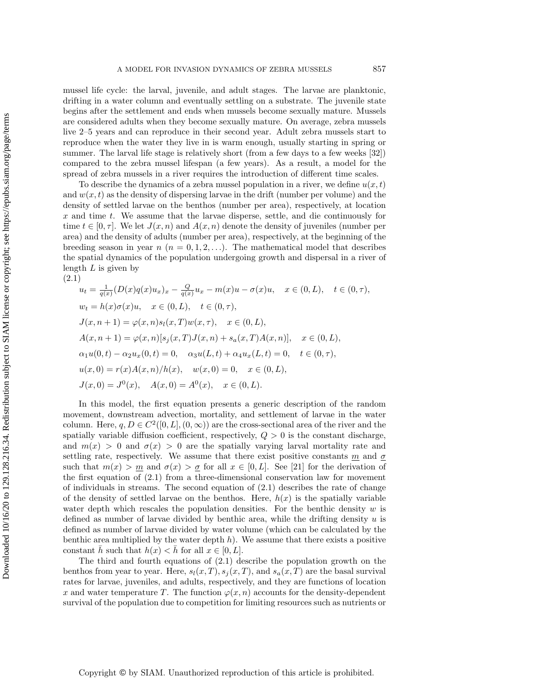mussel life cycle: the larval, juvenile, and adult stages. The larvae are planktonic, drifting in a water column and eventually settling on a substrate. The juvenile state begins after the settlement and ends when mussels become sexually mature. Mussels are considered adults when they become sexually mature. On average, zebra mussels live 2–5 years and can reproduce in their second year. Adult zebra mussels start to reproduce when the water they live in is warm enough, usually starting in spring or summer. The larval life stage is relatively short (from a few days to a few weeks [\[32\]](#page-26-9)) compared to the zebra mussel lifespan (a few years). As a result, a model for the spread of zebra mussels in a river requires the introduction of different time scales.

To describe the dynamics of a zebra mussel population in a river, we define  $u(x, t)$ and  $w(x, t)$  as the density of dispersing larvae in the drift (number per volume) and the density of settled larvae on the benthos (number per area), respectively, at location  $x$  and time  $t$ . We assume that the larvae disperse, settle, and die continuously for time  $t \in [0, \tau]$ . We let  $J(x, n)$  and  $A(x, n)$  denote the density of juveniles (number per area) and the density of adults (number per area), respectively, at the beginning of the breeding season in year  $n (n = 0, 1, 2, ...)$ . The mathematical model that describes the spatial dynamics of the population undergoing growth and dispersal in a river of length  $L$  is given by (2.1)

<span id="page-3-0"></span>
$$
u_t = \frac{1}{q(x)} (D(x)q(x)u_x)_x - \frac{Q}{q(x)} u_x - m(x)u - \sigma(x)u, \quad x \in (0, L), \quad t \in (0, \tau),
$$
  
\n
$$
w_t = h(x)\sigma(x)u, \quad x \in (0, L), \quad t \in (0, \tau),
$$
  
\n
$$
J(x, n + 1) = \varphi(x, n)s_t(x, T)w(x, \tau), \quad x \in (0, L),
$$
  
\n
$$
A(x, n + 1) = \varphi(x, n)[s_j(x, T)J(x, n) + s_a(x, T)A(x, n)], \quad x \in (0, L),
$$
  
\n
$$
\alpha_1 u(0, t) - \alpha_2 u_x(0, t) = 0, \quad \alpha_3 u(L, t) + \alpha_4 u_x(L, t) = 0, \quad t \in (0, \tau),
$$
  
\n
$$
u(x, 0) = r(x)A(x, n)/h(x), \quad w(x, 0) = 0, \quad x \in (0, L),
$$
  
\n
$$
J(x, 0) = J^0(x), \quad A(x, 0) = A^0(x), \quad x \in (0, L).
$$

In this model, the first equation presents a generic description of the random movement, downstream advection, mortality, and settlement of larvae in the water column. Here,  $q, D \in C^2([0, L], (0, \infty))$  are the cross-sectional area of the river and the spatially variable diffusion coefficient, respectively,  $Q > 0$  is the constant discharge. and  $m(x) > 0$  and  $\sigma(x) > 0$  are the spatially varying larval mortality rate and settling rate, respectively. We assume that there exist positive constants  $\underline{m}$  and  $\underline{\sigma}$ such that  $m(x) > m$  and  $\sigma(x) > \sigma$  for all  $x \in [0, L]$ . See [\[21\]](#page-26-10) for the derivation of the first equation of [\(2.1\)](#page-3-0) from a three-dimensional conservation law for movement of individuals in streams. The second equation of  $(2.1)$  describes the rate of change of the density of settled larvae on the benthos. Here,  $h(x)$  is the spatially variable water depth which rescales the population densities. For the benthic density  $w$  is defined as number of larvae divided by benthic area, while the drifting density  $u$  is defined as number of larvae divided by water volume (which can be calculated by the benthic area multiplied by the water depth  $h$ ). We assume that there exists a positive constant  $\bar{h}$  such that  $h(x) < \bar{h}$  for all  $x \in [0, L]$ .

The third and fourth equations of [\(2.1\)](#page-3-0) describe the population growth on the benthos from year to year. Here,  $s_l(x,T), s_j(x,T)$ , and  $s_a(x,T)$  are the basal survival rates for larvae, juveniles, and adults, respectively, and they are functions of location x and water temperature T. The function  $\varphi(x, n)$  accounts for the density-dependent survival of the population due to competition for limiting resources such as nutrients or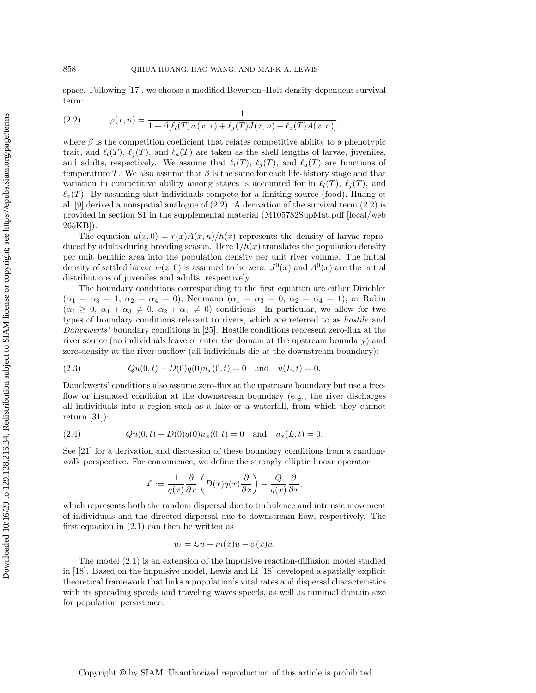space. Following [\[17\]](#page-26-7), we choose a modified Beverton–Holt density-dependent survival term:

<span id="page-4-0"></span>(2.2) 
$$
\varphi(x,n) = \frac{1}{1 + \beta [\ell_l(T) w(x,\tau) + \ell_j(T) J(x,n) + \ell_a(T) A(x,n)]},
$$

where  $\beta$  is the competition coefficient that relates competitive ability to a phenotypic trait, and  $\ell_l(T)$ ,  $\ell_j(T)$ , and  $\ell_a(T)$  are taken as the shell lengths of larvae, juveniles, and adults, respectively. We assume that  $\ell_l(T)$ ,  $\ell_j(T)$ , and  $\ell_a(T)$  are functions of temperature T. We also assume that  $\beta$  is the same for each life-history stage and that variation in competitive ability among stages is accounted for in  $\ell_l(T)$ ,  $\ell_i(T)$ , and  $\ell_a(T)$ . By assuming that individuals compete for a limiting source (food), Huang et al. [\[9\]](#page-25-6) derived a nonspatial analogue of  $(2.2)$ . A derivation of the survival term  $(2.2)$  is provided in section S1 in the supplemental material (M105782SupMat.pdf [\[local/](#page-0-0)[web](http://epubs.siam.org/doi/suppl/10.1137/16M1057826/suppl_file/M105782SupMat.pdf) 265KB]).

The equation  $u(x, 0) = r(x)A(x, n)/h(x)$  represents the density of larvae reproduced by adults during breeding season. Here  $1/h(x)$  translates the population density per unit benthic area into the population density per unit river volume. The initial density of settled larvae  $w(x, 0)$  is assumed to be zero.  $J^0(x)$  and  $A^0(x)$  are the initial distributions of juveniles and adults, respectively.

The boundary conditions corresponding to the first equation are either Dirichlet  $(\alpha_1 = \alpha_3 = 1, \alpha_2 = \alpha_4 = 0)$ , Neumann  $(\alpha_1 = \alpha_3 = 0, \alpha_2 = \alpha_4 = 1)$ , or Robin  $(\alpha_i \geq 0, \alpha_1 + \alpha_3 \neq 0, \alpha_2 + \alpha_4 \neq 0)$  conditions. In particular, we allow for two types of boundary conditions relevant to rivers, which are referred to as *hostile* and Danckwerts' boundary conditions in [\[25\]](#page-26-8). Hostile conditions represent zero-flux at the river source (no individuals leave or enter the domain at the upstream boundary) and zero-density at the river outflow (all individuals die at the downstream boundary):

<span id="page-4-1"></span>(2.3) 
$$
Qu(0, t) - D(0)q(0)u_x(0, t) = 0
$$
 and  $u(L, t) = 0$ .

Danckwerts' conditions also assume zero-flux at the upstream boundary but use a freeflow or insulated condition at the downstream boundary (e.g., the river discharges all individuals into a region such as a lake or a waterfall, from which they cannot return [\[31\]](#page-26-11)):

(2.4) 
$$
Qu(0, t) - D(0)q(0)u_x(0, t) = 0
$$
 and  $u_x(L, t) = 0$ .

See [\[21\]](#page-26-10) for a derivation and discussion of these boundary conditions from a randomwalk perspective. For convenience, we define the strongly elliptic linear operator

$$
\mathcal{L} := \frac{1}{q(x)} \frac{\partial}{\partial x} \left( D(x) q(x) \frac{\partial}{\partial x} \right) - \frac{Q}{q(x)} \frac{\partial}{\partial x},
$$

which represents both the random dispersal due to turbulence and intrinsic movement of individuals and the directed dispersal due to downstream flow, respectively. The first equation in [\(2.1\)](#page-3-0) can then be written as

$$
u_t = \mathcal{L}u - m(x)u - \sigma(x)u.
$$

The model [\(2.1\)](#page-3-0) is an extension of the impulsive reaction-diffusion model studied in [\[18\]](#page-26-12). Based on the impulsive model, Lewis and Li [\[18\]](#page-26-12) developed a spatially explicit theoretical framework that links a population's vital rates and dispersal characteristics with its spreading speeds and traveling waves speeds, as well as minimal domain size for population persistence.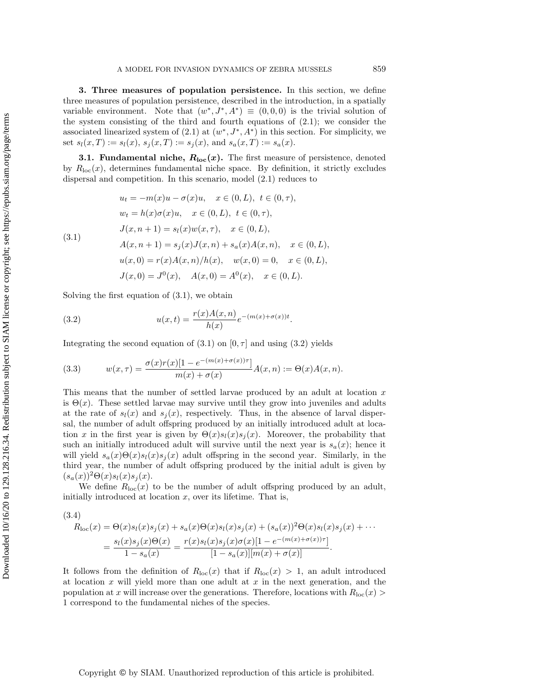<span id="page-5-0"></span>3. Three measures of population persistence. In this section, we define three measures of population persistence, described in the introduction, in a spatially variable environment. Note that  $(w^*, J^*, A^*) \equiv (0, 0, 0)$  is the trivial solution of the system consisting of the third and fourth equations of [\(2.1\)](#page-3-0); we consider the associated linearized system of  $(2.1)$  at  $(w^*, J^*, A^*)$  in this section. For simplicity, we set  $s_l(x,T) := s_l(x), s_j(x,T) := s_j(x)$ , and  $s_a(x,T) := s_a(x)$ .

3.1. Fundamental niche,  $R_{loc}(x)$ . The first measure of persistence, denoted by  $R_{\text{loc}}(x)$ , determines fundamental niche space. By definition, it strictly excludes dispersal and competition. In this scenario, model [\(2.1\)](#page-3-0) reduces to

<span id="page-5-1"></span>
$$
u_t = -m(x)u - \sigma(x)u, \quad x \in (0, L), \ t \in (0, \tau),
$$
  
\n
$$
w_t = h(x)\sigma(x)u, \quad x \in (0, L), \ t \in (0, \tau),
$$
  
\n
$$
J(x, n + 1) = s_t(x)w(x, \tau), \quad x \in (0, L),
$$
  
\n
$$
A(x, n + 1) = s_j(x)J(x, n) + s_a(x)A(x, n), \quad x \in (0, L),
$$
  
\n
$$
u(x, 0) = r(x)A(x, n)/h(x), \quad w(x, 0) = 0, \quad x \in (0, L),
$$
  
\n
$$
J(x, 0) = J^0(x), \quad A(x, 0) = A^0(x), \quad x \in (0, L).
$$

Solving the first equation of [\(3.1\)](#page-5-1), we obtain

<span id="page-5-2"></span>(3.2) 
$$
u(x,t) = \frac{r(x)A(x,n)}{h(x)}e^{-(m(x)+\sigma(x))t}.
$$

Integrating the second equation of  $(3.1)$  on  $[0, \tau]$  and using  $(3.2)$  yields

<span id="page-5-3"></span>(3.3) 
$$
w(x,\tau) = \frac{\sigma(x)r(x)[1 - e^{-(m(x) + \sigma(x))\tau}]}{m(x) + \sigma(x)}A(x,n) := \Theta(x)A(x,n).
$$

This means that the number of settled larvae produced by an adult at location x is  $\Theta(x)$ . These settled larvae may survive until they grow into juveniles and adults at the rate of  $s_l(x)$  and  $s_i(x)$ , respectively. Thus, in the absence of larval dispersal, the number of adult offspring produced by an initially introduced adult at location x in the first year is given by  $\Theta(x)s_i(x)s_i(x)$ . Moreover, the probability that such an initially introduced adult will survive until the next year is  $s_a(x)$ ; hence it will yield  $s_a(x)\Theta(x)s_i(x)s_j(x)$  adult offspring in the second year. Similarly, in the third year, the number of adult offspring produced by the initial adult is given by  $(s_a(x))^2\Theta(x)s_l(x)s_j(x).$ 

We define  $R_{\text{loc}}(x)$  to be the number of adult offspring produced by an adult, initially introduced at location  $x$ , over its lifetime. That is,

<span id="page-5-4"></span>
$$
(3.4) \quad R_{\text{loc}}(x) = \Theta(x)s_l(x)s_j(x) + s_a(x)\Theta(x)s_l(x)s_j(x) + (s_a(x))^2\Theta(x)s_l(x)s_j(x) + \cdots = \frac{s_l(x)s_j(x)\Theta(x)}{1 - s_a(x)} = \frac{r(x)s_l(x)s_j(x)\sigma(x)[1 - e^{-(m(x) + \sigma(x))\tau}]}{[1 - s_a(x)][m(x) + \sigma(x)]}.
$$

It follows from the definition of  $R_{\text{loc}}(x)$  that if  $R_{\text{loc}}(x) > 1$ , an adult introduced at location  $x$  will yield more than one adult at  $x$  in the next generation, and the population at x will increase over the generations. Therefore, locations with  $R_{\text{loc}}(x)$ 1 correspond to the fundamental niches of the species.

Copyright © by SIAM. Unauthorized reproduction of this article is prohibited.

(3.1)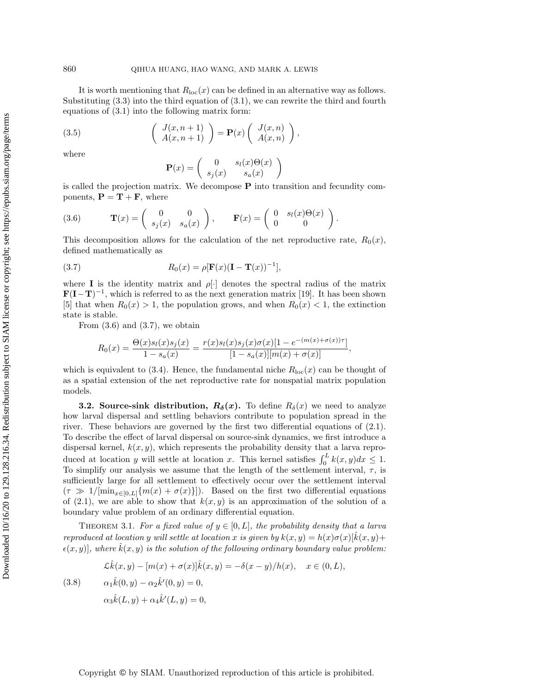It is worth mentioning that  $R_{\text{loc}}(x)$  can be defined in an alternative way as follows. Substituting [\(3.3\)](#page-5-3) into the third equation of [\(3.1\)](#page-5-1), we can rewrite the third and fourth equations of [\(3.1\)](#page-5-1) into the following matrix form:

(3.5) 
$$
\begin{pmatrix} J(x, n+1) \ A(x, n+1) \end{pmatrix} = \mathbf{P}(x) \begin{pmatrix} J(x, n) \ A(x, n) \end{pmatrix},
$$

where

<span id="page-6-1"></span>
$$
\mathbf{P}(x) = \begin{pmatrix} 0 & s_l(x)\Theta(x) \\ s_j(x) & s_a(x) \end{pmatrix}
$$

is called the projection matrix. We decompose  $P$  into transition and fecundity components,  $\mathbf{P} = \mathbf{T} + \mathbf{F}$ , where

<span id="page-6-0"></span>(3.6) 
$$
\mathbf{T}(x) = \begin{pmatrix} 0 & 0 \\ s_j(x) & s_a(x) \end{pmatrix}, \quad \mathbf{F}(x) = \begin{pmatrix} 0 & s_l(x)\Theta(x) \\ 0 & 0 \end{pmatrix}.
$$

This decomposition allows for the calculation of the net reproductive rate,  $R_0(x)$ , defined mathematically as

(3.7) 
$$
R_0(x) = \rho \left[ \mathbf{F}(x) (\mathbf{I} - \mathbf{T}(x))^{-1} \right],
$$

where I is the identity matrix and  $\rho[\cdot]$  denotes the spectral radius of the matrix  $\mathbf{F}(\mathbf{I}-\mathbf{T})^{-1}$ , which is referred to as the next generation matrix [\[19\]](#page-26-13). It has been shown [\[5\]](#page-25-7) that when  $R_0(x) > 1$ , the population grows, and when  $R_0(x) < 1$ , the extinction state is stable.

From  $(3.6)$  and  $(3.7)$ , we obtain

$$
R_0(x) = \frac{\Theta(x)s_l(x)s_j(x)}{1 - s_a(x)} = \frac{r(x)s_l(x)s_j(x)\sigma(x)[1 - e^{-(m(x) + \sigma(x))\tau}]}{[1 - s_a(x)][m(x) + \sigma(x)]},
$$

which is equivalent to [\(3.4\)](#page-5-4). Hence, the fundamental niche  $R_{\text{loc}}(x)$  can be thought of as a spatial extension of the net reproductive rate for nonspatial matrix population models.

**3.2. Source-sink distribution,**  $R_{\delta}(x)$ **.** To define  $R_{\delta}(x)$  we need to analyze how larval dispersal and settling behaviors contribute to population spread in the river. These behaviors are governed by the first two differential equations of [\(2.1\)](#page-3-0). To describe the effect of larval dispersal on source-sink dynamics, we first introduce a dispersal kernel,  $k(x, y)$ , which represents the probability density that a larva reproduced at location y will settle at location x. This kernel satisfies  $\int_0^L k(x, y)dx \leq 1$ . To simplify our analysis we assume that the length of the settlement interval,  $\tau$ , is sufficiently large for all settlement to effectively occur over the settlement interval  $(\tau \gg 1/[\min_{x \in [0,L]} \{m(x) + \sigma(x)\}])$ . Based on the first two differential equations of [\(2.1\)](#page-3-0), we are able to show that  $k(x, y)$  is an approximation of the solution of a boundary value problem of an ordinary differential equation.

<span id="page-6-2"></span>THEOREM 3.1. For a fixed value of  $y \in [0, L]$ , the probability density that a larva reproduced at location y will settle at location x is given by  $k(x, y) = h(x)\sigma(x)[k(x, y) +$  $\epsilon(x, y)$ , where  $\hat{k}(x, y)$  is the solution of the following ordinary boundary value problem:

$$
\mathcal{L}\hat{k}(x,y) - [m(x) + \sigma(x)]\hat{k}(x,y) = -\delta(x-y)/h(x), \quad x \in (0,L),
$$

<span id="page-6-3"></span>(3.8) 
$$
\alpha_1 \hat{k}(0, y) - \alpha_2 \hat{k}'(0, y) = 0,
$$

$$
\alpha_3 \hat{k}(L, y) + \alpha_4 \hat{k}'(L, y) = 0,
$$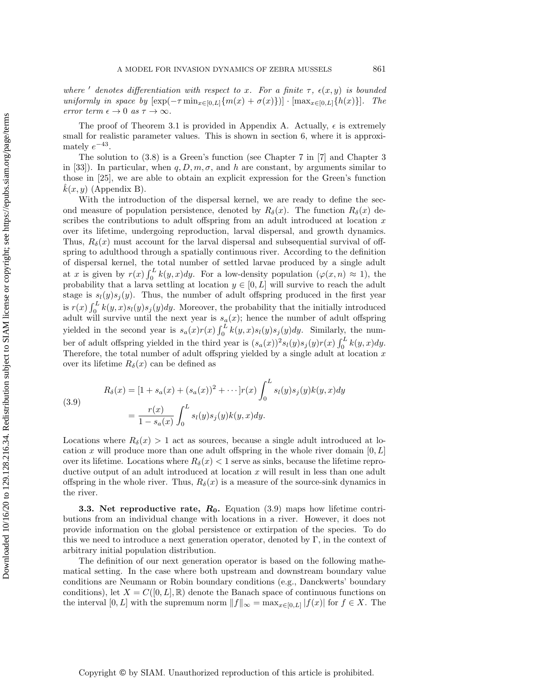where ' denotes differentiation with respect to x. For a finite  $\tau$ ,  $\epsilon(x, y)$  is bounded uniformly in space by  $[\exp(-\tau \min_{x \in [0,L]} \{m(x) + \sigma(x)\})] \cdot [\max_{x \in [0,L]} \{h(x)\}].$  The error term  $\epsilon \to 0$  as  $\tau \to \infty$ .

The proof of Theorem [3.1](#page-6-2) is provided in Appendix [A.](#page-20-0) Actually,  $\epsilon$  is extremely small for realistic parameter values. This is shown in section [6,](#page-14-0) where it is approximately  $e^{-43}$ .

The solution to [\(3.8\)](#page-6-3) is a Green's function (see Chapter 7 in [\[7\]](#page-25-8) and Chapter 3 in [\[33\]](#page-26-14)). In particular, when  $q, D, m, \sigma$ , and h are constant, by arguments similar to those in [\[25\]](#page-26-8), we are able to obtain an explicit expression for the Green's function  $k(x, y)$  (Appendix [B\)](#page-22-0).

With the introduction of the dispersal kernel, we are ready to define the second measure of population persistence, denoted by  $R_\delta(x)$ . The function  $R_\delta(x)$  describes the contributions to adult offspring from an adult introduced at location  $x$ over its lifetime, undergoing reproduction, larval dispersal, and growth dynamics. Thus,  $R_{\delta}(x)$  must account for the larval dispersal and subsequential survival of offspring to adulthood through a spatially continuous river. According to the definition of dispersal kernel, the total number of settled larvae produced by a single adult at x is given by  $r(x) \int_0^L k(y, x) dy$ . For a low-density population  $(\varphi(x, n) \approx 1)$ , the probability that a larva settling at location  $y \in [0, L]$  will survive to reach the adult stage is  $s_l(y)s_j(y)$ . Thus, the number of adult offspring produced in the first year is  $r(x) \int_0^L k(y,x) s_l(y) s_j(y) dy$ . Moreover, the probability that the initially introduced adult will survive until the next year is  $s_a(x)$ ; hence the number of adult offspring yielded in the second year is  $s_a(x)r(x)\int_0^L k(y,x)s_l(y)s_j(y)dy$ . Similarly, the number of adult offspring yielded in the third year is  $(s_a(x))^2 s_l(y)s_j(y)r(x)\int_0^L k(y,x)dy$ . Therefore, the total number of adult offspring yielded by a single adult at location  $x$ over its lifetime  $R_{\delta}(x)$  can be defined as

<span id="page-7-0"></span>(3.9)  

$$
R_{\delta}(x) = [1 + s_a(x) + (s_a(x))^2 + \cdots]r(x) \int_0^L s_l(y)s_j(y)k(y, x)dy
$$

$$
= \frac{r(x)}{1 - s_a(x)} \int_0^L s_l(y)s_j(y)k(y, x)dy.
$$

Locations where  $R_{\delta}(x) > 1$  act as sources, because a single adult introduced at location x will produce more than one adult offspring in the whole river domain  $[0, L]$ over its lifetime. Locations where  $R_{\delta}(x) < 1$  serve as sinks, because the lifetime reproductive output of an adult introduced at location  $x$  will result in less than one adult offspring in the whole river. Thus,  $R_{\delta}(x)$  is a measure of the source-sink dynamics in the river.

**3.3.** Net reproductive rate,  $R_0$ . Equation [\(3.9\)](#page-7-0) maps how lifetime contributions from an individual change with locations in a river. However, it does not provide information on the global persistence or extirpation of the species. To do this we need to introduce a next generation operator, denoted by Γ, in the context of arbitrary initial population distribution.

The definition of our next generation operator is based on the following mathematical setting. In the case where both upstream and downstream boundary value conditions are Neumann or Robin boundary conditions (e.g., Danckwerts' boundary conditions), let  $X = C([0, L], \mathbb{R})$  denote the Banach space of continuous functions on the interval  $[0, L]$  with the supremum norm  $||f||_{\infty} = \max_{x \in [0, L]} |f(x)|$  for  $f \in X$ . The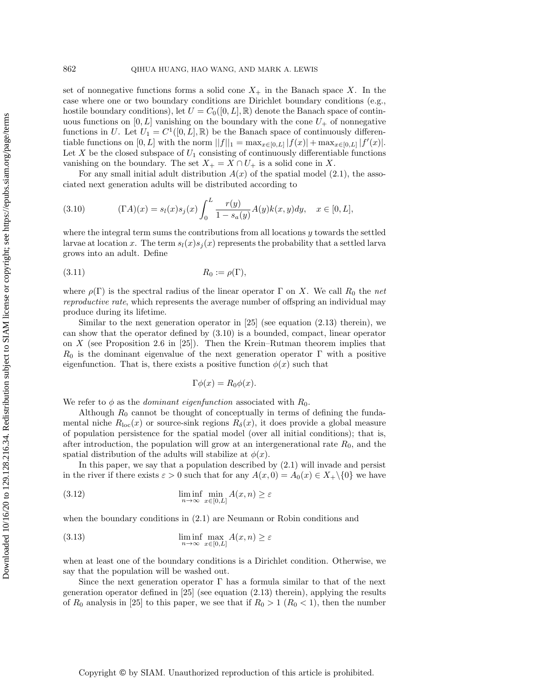set of nonnegative functions forms a solid cone  $X_+$  in the Banach space X. In the case where one or two boundary conditions are Dirichlet boundary conditions (e.g., hostile boundary conditions), let  $U = C_0([0, L], \mathbb{R})$  denote the Banach space of continuous functions on  $[0, L]$  vanishing on the boundary with the cone  $U_+$  of nonnegative functions in U. Let  $U_1 = C^1([0, L], \mathbb{R})$  be the Banach space of continuously differentiable functions on [0, L] with the norm  $||f||_1 = \max_{x \in [0,L]} |f(x)| + \max_{x \in [0,L]} |f'(x)|$ . Let  $X$  be the closed subspace of  $U_1$  consisting of continuously differentiable functions vanishing on the boundary. The set  $X_+ = X \cap U_+$  is a solid cone in X.

For any small initial adult distribution  $A(x)$  of the spatial model [\(2.1\)](#page-3-0), the associated next generation adults will be distributed according to

<span id="page-8-0"></span>(3.10) 
$$
(\Gamma A)(x) = s_l(x)s_j(x)\int_0^L \frac{r(y)}{1 - s_a(y)}A(y)k(x, y)dy, \quad x \in [0, L],
$$

where the integral term sums the contributions from all locations  $y$  towards the settled larvae at location x. The term  $s_l(x)s_j(x)$  represents the probability that a settled larva grows into an adult. Define

$$
(3.11) \t\t R_0 := \rho(\Gamma),
$$

where  $\rho(\Gamma)$  is the spectral radius of the linear operator  $\Gamma$  on X. We call  $R_0$  the net reproductive rate, which represents the average number of offspring an individual may produce during its lifetime.

Similar to the next generation operator in  $[25]$  (see equation  $(2.13)$ ) therein), we can show that the operator defined by [\(3.10\)](#page-8-0) is a bounded, compact, linear operator on  $X$  (see Proposition 2.6 in [\[25\]](#page-26-8)). Then the Krein–Rutman theorem implies that  $R_0$  is the dominant eigenvalue of the next generation operator  $\Gamma$  with a positive eigenfunction. That is, there exists a positive function  $\phi(x)$  such that

$$
\Gamma \phi(x) = R_0 \phi(x).
$$

We refer to  $\phi$  as the *dominant eigenfunction* associated with  $R_0$ .

Although  $R_0$  cannot be thought of conceptually in terms of defining the fundamental niche  $R_{\text{loc}}(x)$  or source-sink regions  $R_{\delta}(x)$ , it does provide a global measure of population persistence for the spatial model (over all initial conditions); that is, after introduction, the population will grow at an intergenerational rate  $R_0$ , and the spatial distribution of the adults will stabilize at  $\phi(x)$ .

In this paper, we say that a population described by [\(2.1\)](#page-3-0) will invade and persist in the river if there exists  $\varepsilon > 0$  such that for any  $A(x, 0) = A_0(x) \in X_+ \setminus \{0\}$  we have

(3.12) 
$$
\liminf_{n \to \infty} \min_{x \in [0, L]} A(x, n) \ge \varepsilon
$$

when the boundary conditions in [\(2.1\)](#page-3-0) are Neumann or Robin conditions and

(3.13) 
$$
\liminf_{n \to \infty} \max_{x \in [0, L]} A(x, n) \ge \varepsilon
$$

when at least one of the boundary conditions is a Dirichlet condition. Otherwise, we say that the population will be washed out.

Since the next generation operator  $\Gamma$  has a formula similar to that of the next generation operator defined in [\[25\]](#page-26-8) (see equation (2.13) therein), applying the results of  $R_0$  analysis in [\[25\]](#page-26-8) to this paper, we see that if  $R_0 > 1$  ( $R_0 < 1$ ), then the number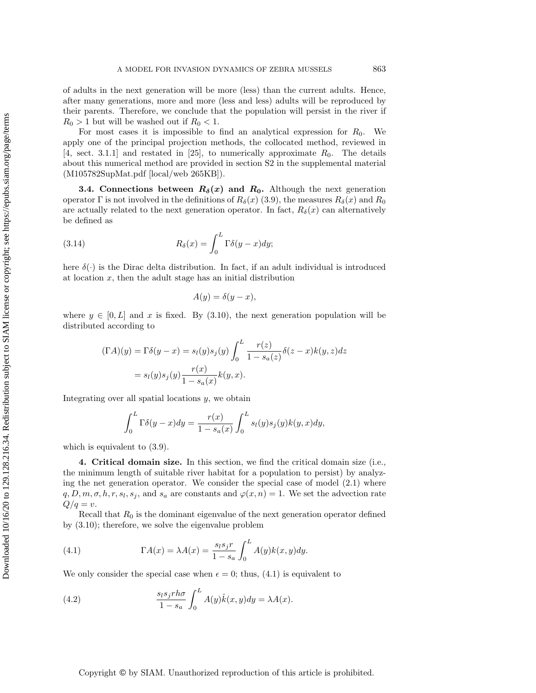of adults in the next generation will be more (less) than the current adults. Hence, after many generations, more and more (less and less) adults will be reproduced by their parents. Therefore, we conclude that the population will persist in the river if  $R_0 > 1$  but will be washed out if  $R_0 < 1$ .

For most cases it is impossible to find an analytical expression for  $R_0$ . We apply one of the principal projection methods, the collocated method, reviewed in [\[4,](#page-25-9) sect. 3.1.1] and restated in [\[25\]](#page-26-8), to numerically approximate  $R_0$ . The details about this numerical method are provided in section S2 in the supplemental material (M105782SupMat.pdf [\[local/](#page-0-0)[web](http://epubs.siam.org/doi/suppl/10.1137/16M1057826/suppl_file/M105782SupMat.pdf) 265KB]).

**3.4.** Connections between  $R_{\delta}(x)$  and  $R_0$ . Although the next generation operator  $\Gamma$  is not involved in the definitions of  $R_{\delta}(x)$  [\(3.9\)](#page-7-0), the measures  $R_{\delta}(x)$  and  $R_0$ are actually related to the next generation operator. In fact,  $R_{\delta}(x)$  can alternatively be defined as

(3.14) 
$$
R_{\delta}(x) = \int_0^L \Gamma \delta(y - x) dy;
$$

here  $\delta(\cdot)$  is the Dirac delta distribution. In fact, if an adult individual is introduced at location  $x$ , then the adult stage has an initial distribution

$$
A(y) = \delta(y - x),
$$

where  $y \in [0, L]$  and x is fixed. By [\(3.10\)](#page-8-0), the next generation population will be distributed according to

$$
(\Gamma A)(y) = \Gamma \delta(y - x) = s_l(y)s_j(y) \int_0^L \frac{r(z)}{1 - s_a(z)} \delta(z - x)k(y, z) dz
$$

$$
= s_l(y)s_j(y) \frac{r(x)}{1 - s_a(x)} k(y, x).
$$

Integrating over all spatial locations  $y$ , we obtain

$$
\int_0^L \Gamma \delta(y - x) dy = \frac{r(x)}{1 - s_a(x)} \int_0^L s_l(y) s_j(y) k(y, x) dy,
$$

which is equivalent to [\(3.9\)](#page-7-0).

<span id="page-9-0"></span>4. Critical domain size. In this section, we find the critical domain size (i.e., the minimum length of suitable river habitat for a population to persist) by analyzing the net generation operator. We consider the special case of model  $(2.1)$  where  $q, D, m, \sigma, h, r, s_l, s_j$ , and  $s_a$  are constants and  $\varphi(x, n) = 1$ . We set the advection rate  $Q/q = v.$ 

Recall that  $R_0$  is the dominant eigenvalue of the next generation operator defined by [\(3.10\)](#page-8-0); therefore, we solve the eigenvalue problem

<span id="page-9-1"></span>(4.1) 
$$
\Gamma A(x) = \lambda A(x) = \frac{s_l s_j r}{1 - s_a} \int_0^L A(y) k(x, y) dy.
$$

We only consider the special case when  $\epsilon = 0$ ; thus, [\(4.1\)](#page-9-1) is equivalent to

<span id="page-9-2"></span>(4.2) 
$$
\frac{s_l s_j rh\sigma}{1 - s_a} \int_0^L A(y)\hat{k}(x, y) dy = \lambda A(x).
$$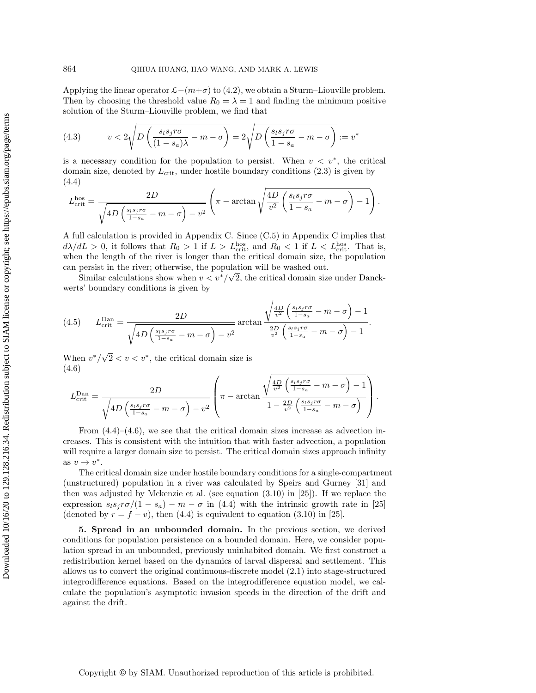Applying the linear operator  $\mathcal{L}-(m+\sigma)$  to [\(4.2\)](#page-9-2), we obtain a Sturm–Liouville problem. Then by choosing the threshold value  $R_0 = \lambda = 1$  and finding the minimum positive solution of the Sturm–Liouville problem, we find that

<span id="page-10-3"></span>(4.3) 
$$
v < 2\sqrt{D\left(\frac{s_l s_j r \sigma}{(1 - s_a)\lambda} - m - \sigma\right)} = 2\sqrt{D\left(\frac{s_l s_j r \sigma}{1 - s_a} - m - \sigma\right)} := v^*
$$

is a necessary condition for the population to persist. When  $v < v^*$ , the critical domain size, denoted by  $L_{\rm crit}$ , under hostile boundary conditions [\(2.3\)](#page-4-1) is given by (4.4)

<span id="page-10-1"></span>
$$
L_{\text{crit}}^{\text{hos}} = \frac{2D}{\sqrt{4D\left(\frac{s_l s_j r \sigma}{1 - s_a} - m - \sigma\right) - v^2}} \left(\pi - \arctan\sqrt{\frac{4D}{v^2}\left(\frac{s_l s_j r \sigma}{1 - s_a} - m - \sigma\right) - 1}\right).
$$

A full calculation is provided in Appendix [C.](#page-22-1) Since [\(C.5\)](#page-24-0) in Appendix [C](#page-22-1) implies that  $d\lambda/dL > 0$ , it follows that  $R_0 > 1$  if  $L > L_{\text{crit}}^{\text{bos}}$ , and  $R_0 < 1$  if  $L < L_{\text{crit}}^{\text{bos}}$ . That is, when the length of the river is longer than the critical domain size, the population can persist in the river; otherwise, the population will be washed out.

Similar calculations show when  $v < v^*/\sqrt{2}$ , the critical domain size under Danckwerts' boundary conditions is given by

.

(4.5) 
$$
L_{\text{crit}}^{\text{Dan}} = \frac{2D}{\sqrt{4D\left(\frac{s_l s_j r \sigma}{1 - s_a} - m - \sigma\right) - v^2}} \arctan \frac{\sqrt{\frac{4D}{v^2} \left(\frac{s_l s_j r \sigma}{1 - s_a} - m - \sigma\right) - 1}}{\frac{2D}{v^2} \left(\frac{s_l s_j r \sigma}{1 - s_a} - m - \sigma\right) - 1}
$$

When  $v^*/\sqrt{2} < v < v^*$ , the critical domain size is (4.6)

<span id="page-10-2"></span>
$$
L_{\text{crit}}^{\text{Dan}} = \frac{2D}{\sqrt{4D\left(\frac{s_l s_j r \sigma}{1 - s_a} - m - \sigma\right) - v^2}} \left(\pi - \arctan\frac{\sqrt{\frac{4D}{v^2}\left(\frac{s_l s_j r \sigma}{1 - s_a} - m - \sigma\right) - 1}}{1 - \frac{2D}{v^2}\left(\frac{s_l s_j r \sigma}{1 - s_a} - m - \sigma\right)}\right).
$$

From  $(4.4)$ – $(4.6)$ , we see that the critical domain sizes increase as advection increases. This is consistent with the intuition that with faster advection, a population will require a larger domain size to persist. The critical domain sizes approach infinity as  $v \to v^*$ .

The critical domain size under hostile boundary conditions for a single-compartment (unstructured) population in a river was calculated by Speirs and Gurney [\[31\]](#page-26-11) and then was adjusted by Mckenzie et al. (see equation (3.10) in [\[25\]](#page-26-8)). If we replace the expression  $s_i s_j r \sigma/(1 - s_a) - m - \sigma$  in [\(4.4\)](#page-10-1) with the intrinsic growth rate in [\[25\]](#page-26-8) (denoted by  $r = f - v$ ), then [\(4.4\)](#page-10-1) is equivalent to equation (3.10) in [\[25\]](#page-26-8).

<span id="page-10-0"></span>5. Spread in an unbounded domain. In the previous section, we derived conditions for population persistence on a bounded domain. Here, we consider population spread in an unbounded, previously uninhabited domain. We first construct a redistribution kernel based on the dynamics of larval dispersal and settlement. This allows us to convert the original continuous-discrete model [\(2.1\)](#page-3-0) into stage-structured integrodifference equations. Based on the integrodifference equation model, we calculate the population's asymptotic invasion speeds in the direction of the drift and against the drift.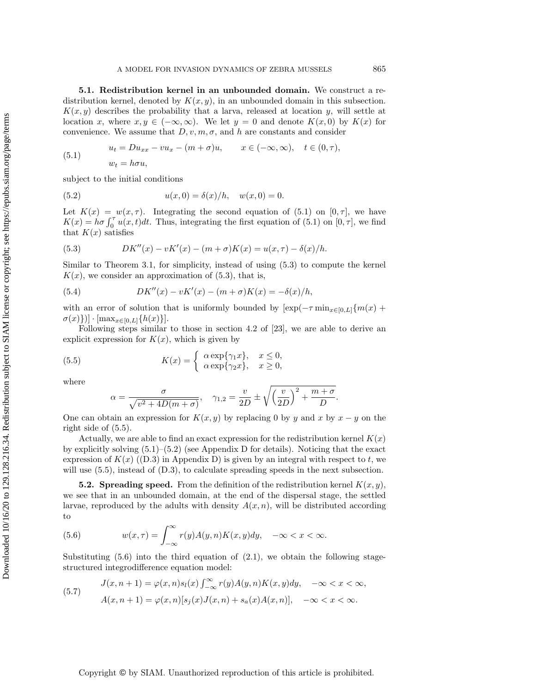<span id="page-11-6"></span>5.1. Redistribution kernel in an unbounded domain. We construct a redistribution kernel, denoted by  $K(x, y)$ , in an unbounded domain in this subsection.  $K(x, y)$  describes the probability that a larva, released at location y, will settle at location x, where  $x, y \in (-\infty, \infty)$ . We let  $y = 0$  and denote  $K(x, 0)$  by  $K(x)$  for convenience. We assume that  $D, v, m, \sigma$ , and h are constants and consider

<span id="page-11-0"></span>(5.1) 
$$
u_t = Du_{xx} - vu_x - (m + \sigma)u, \qquad x \in (-\infty, \infty), \quad t \in (0, \tau),
$$

$$
w_t = h\sigma u,
$$

subject to the initial conditions

<span id="page-11-3"></span>(5.2) 
$$
u(x, 0) = \delta(x)/h, \quad w(x, 0) = 0.
$$

Let  $K(x) = w(x, \tau)$ . Integrating the second equation of [\(5.1\)](#page-11-0) on [0,  $\tau$ ], we have  $K(x) = h\sigma \int_0^{\tau} u(x, t)dt$ . Thus, integrating the first equation of [\(5.1\)](#page-11-0) on [0,  $\tau$ ], we find that  $K(x)$  satisfies

<span id="page-11-1"></span>(5.3) 
$$
DK''(x) - vK'(x) - (m + \sigma)K(x) = u(x, \tau) - \delta(x)/h.
$$

Similar to Theorem [3.1,](#page-6-2) for simplicity, instead of using [\(5.3\)](#page-11-1) to compute the kernel  $K(x)$ , we consider an approximation of [\(5.3\)](#page-11-1), that is,

(5.4) 
$$
DK''(x) - vK'(x) - (m + \sigma)K(x) = -\delta(x)/h,
$$

with an error of solution that is uniformly bounded by  $[\exp(-\tau \min_{x \in [0,L]} \{m(x) +$  $\sigma(x)\})] \cdot \max_{x \in [0,L]} \{h(x)\}.$ 

Following steps similar to those in section 4.2 of [\[23\]](#page-26-15), we are able to derive an explicit expression for  $K(x)$ , which is given by

(5.5) 
$$
K(x) = \begin{cases} \alpha \exp{\{\gamma_1 x\}}, & x \le 0, \\ \alpha \exp{\{\gamma_2 x\}}, & x \ge 0, \end{cases}
$$

where

<span id="page-11-2"></span>
$$
\alpha = \frac{\sigma}{\sqrt{v^2 + 4D(m + \sigma)}}, \quad \gamma_{1,2} = \frac{v}{2D} \pm \sqrt{\left(\frac{v}{2D}\right)^2 + \frac{m + \sigma}{D}}.
$$

One can obtain an expression for  $K(x, y)$  by replacing 0 by y and x by  $x - y$  on the right side of [\(5.5\)](#page-11-2).

Actually, we are able to find an exact expression for the redistribution kernel  $K(x)$ by explicitly solving [\(5.1\)](#page-11-0)–[\(5.2\)](#page-11-3) (see Appendix [D](#page-24-1) for details). Noticing that the exact expression of  $K(x)$  ([\(D.3\)](#page-24-2) in Appendix [D\)](#page-24-1) is given by an integral with respect to t, we will use  $(5.5)$ , instead of  $(D.3)$ , to calculate spreading speeds in the next subsection.

**5.2. Spreading speed.** From the definition of the redistribution kernel  $K(x, y)$ , we see that in an unbounded domain, at the end of the dispersal stage, the settled larvae, reproduced by the adults with density  $A(x, n)$ , will be distributed according to

<span id="page-11-4"></span>(5.6) 
$$
w(x,\tau) = \int_{-\infty}^{\infty} r(y)A(y,n)K(x,y)dy, \quad -\infty < x < \infty.
$$

Substituting  $(5.6)$  into the third equation of  $(2.1)$ , we obtain the following stagestructured integrodifference equation model:

<span id="page-11-5"></span>(5.7) 
$$
J(x, n+1) = \varphi(x, n)s_l(x) \int_{-\infty}^{\infty} r(y)A(y, n)K(x, y)dy, \quad -\infty < x < \infty,
$$

$$
A(x, n+1) = \varphi(x, n)[s_j(x)J(x, n) + s_a(x)A(x, n)], \quad -\infty < x < \infty.
$$

Copyright © by SIAM. Unauthorized reproduction of this article is prohibited.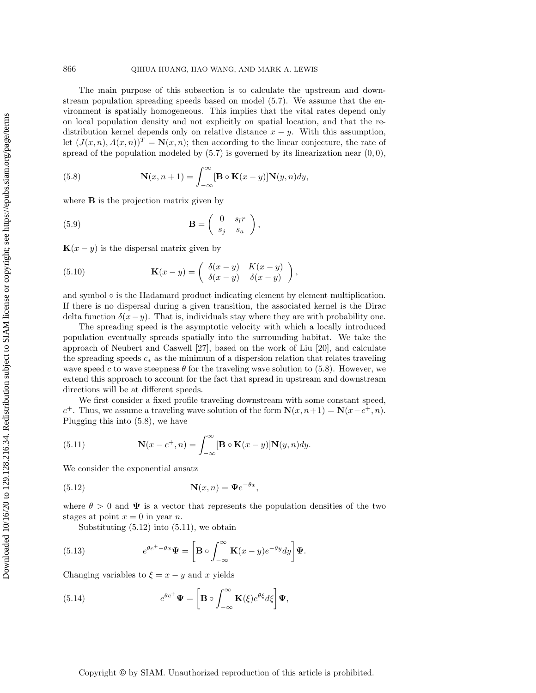The main purpose of this subsection is to calculate the upstream and downstream population spreading speeds based on model [\(5.7\)](#page-11-5). We assume that the environment is spatially homogeneous. This implies that the vital rates depend only on local population density and not explicitly on spatial location, and that the redistribution kernel depends only on relative distance  $x - y$ . With this assumption, let  $(J(x, n), A(x, n))^T = N(x, n)$ ; then according to the linear conjecture, the rate of spread of the population modeled by  $(5.7)$  is governed by its linearization near  $(0, 0)$ ,

<span id="page-12-0"></span>(5.8) 
$$
\mathbf{N}(x, n+1) = \int_{-\infty}^{\infty} [\mathbf{B} \circ \mathbf{K}(x-y)] \mathbf{N}(y, n) dy,
$$

where **B** is the projection matrix given by

(5.9) 
$$
\mathbf{B} = \begin{pmatrix} 0 & s_l r \\ s_j & s_a \end{pmatrix},
$$

 $\mathbf{K}(x-y)$  is the dispersal matrix given by

(5.10) 
$$
\mathbf{K}(x-y) = \begin{pmatrix} \delta(x-y) & K(x-y) \\ \delta(x-y) & \delta(x-y) \end{pmatrix},
$$

and symbol ∘ is the Hadamard product indicating element by element multiplication. If there is no dispersal during a given transition, the associated kernel is the Dirac delta function  $\delta(x-y)$ . That is, individuals stay where they are with probability one.

The spreading speed is the asymptotic velocity with which a locally introduced population eventually spreads spatially into the surrounding habitat. We take the approach of Neubert and Caswell [\[27\]](#page-26-16), based on the work of Liu [\[20\]](#page-26-17), and calculate the spreading speeds  $c_*$  as the minimum of a dispersion relation that relates traveling wave speed c to wave steepness  $\theta$  for the traveling wave solution to [\(5.8\)](#page-12-0). However, we extend this approach to account for the fact that spread in upstream and downstream directions will be at different speeds.

We first consider a fixed profile traveling downstream with some constant speed, c<sup>+</sup>. Thus, we assume a traveling wave solution of the form  $N(x, n+1) = N(x-c^+, n)$ . Plugging this into [\(5.8\)](#page-12-0), we have

<span id="page-12-2"></span>(5.11) 
$$
\mathbf{N}(x - c^+, n) = \int_{-\infty}^{\infty} [\mathbf{B} \circ \mathbf{K}(x - y)] \mathbf{N}(y, n) dy.
$$

We consider the exponential ansatz

(5.12) 
$$
\mathbf{N}(x,n) = \mathbf{\Psi}e^{-\theta x},
$$

where  $\theta > 0$  and  $\Psi$  is a vector that represents the population densities of the two stages at point  $x = 0$  in year n.

<span id="page-12-1"></span>Substituting  $(5.12)$  into  $(5.11)$ , we obtain

(5.13) 
$$
e^{\theta c^+ - \theta x} \Psi = \left[ \mathbf{B} \circ \int_{-\infty}^{\infty} \mathbf{K}(x - y) e^{-\theta y} dy \right] \Psi.
$$

Changing variables to  $\xi = x - y$  and x yields

(5.14) 
$$
e^{\theta c^+} \Psi = \left[ \mathbf{B} \circ \int_{-\infty}^{\infty} \mathbf{K}(\xi) e^{\theta \xi} d\xi \right] \Psi,
$$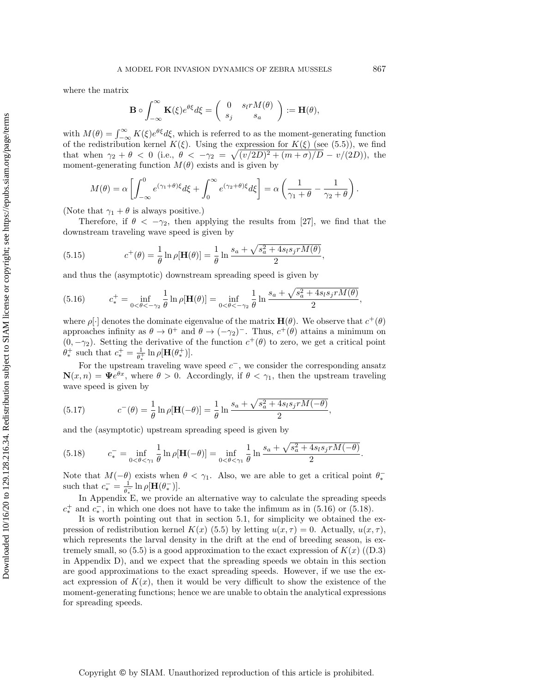where the matrix

$$
\mathbf{B}\circ\int_{-\infty}^{\infty}\mathbf{K}(\xi)e^{\theta\xi}d\xi=\left(\begin{array}{cc}0 & s_{l}rM(\theta) \\ s_{j} & s_{a} \end{array}\right):=\mathbf{H}(\theta),
$$

with  $M(\theta) = \int_{-\infty}^{\infty} K(\xi) e^{\theta \xi} d\xi$ , which is referred to as the moment-generating function of the redistribution kernel  $K(\xi)$ . Using the expression for  $K(\xi)$  (see [\(5.5\)](#page-11-2)), we find that when  $\gamma_2 + \theta < 0$  (i.e.,  $\theta < -\gamma_2 = \sqrt{(v/2D)^2 + (m+\sigma)/D} - v/(2D)$ ), the moment-generating function  $M(\theta)$  exists and is given by

$$
M(\theta) = \alpha \left[ \int_{-\infty}^{0} e^{(\gamma_1 + \theta)\xi} d\xi + \int_{0}^{\infty} e^{(\gamma_2 + \theta)\xi} d\xi \right] = \alpha \left( \frac{1}{\gamma_1 + \theta} - \frac{1}{\gamma_2 + \theta} \right).
$$

(Note that  $\gamma_1 + \theta$  is always positive.)

Therefore, if  $\theta < -\gamma_2$ , then applying the results from [\[27\]](#page-26-16), we find that the downstream traveling wave speed is given by

<span id="page-13-2"></span>(5.15) 
$$
c^+(\theta) = \frac{1}{\theta} \ln \rho[\mathbf{H}(\theta)] = \frac{1}{\theta} \ln \frac{s_a + \sqrt{s_a^2 + 4s_l s_j r M(\theta)}}{2},
$$

and thus the (asymptotic) downstream spreading speed is given by

<span id="page-13-0"></span>(5.16) 
$$
c_*^+ = \inf_{0 < \theta < -\gamma_2} \frac{1}{\theta} \ln \rho[\mathbf{H}(\theta)] = \inf_{0 < \theta < -\gamma_2} \frac{1}{\theta} \ln \frac{s_a + \sqrt{s_a^2 + 4s_l s_j r M(\theta)}}{2},
$$

where  $\rho[\cdot]$  denotes the dominate eigenvalue of the matrix  $\mathbf{H}(\theta)$ . We observe that  $c^+(\theta)$ approaches infinity as  $\theta \to 0^+$  and  $\theta \to (-\gamma_2)^-$ . Thus,  $c^+(\theta)$  attains a minimum on  $(0, -\gamma_2)$ . Setting the derivative of the function  $c^+(\theta)$  to zero, we get a critical point  $\theta_*^+$  such that  $c_*^+ = \frac{1}{\theta^+}$  $\frac{1}{\theta_*^+} \ln \rho [\mathbf{H}(\theta_*^+)]$ .

For the upstream traveling wave speed  $c^-$ , we consider the corresponding ansatz  $\mathbf{N}(x,n) = \mathbf{\Psi}e^{\theta x}$ , where  $\theta > 0$ . Accordingly, if  $\theta < \gamma_1$ , then the upstream traveling wave speed is given by

<span id="page-13-3"></span>(5.17) 
$$
c^{-}(\theta) = \frac{1}{\theta} \ln \rho [\mathbf{H}(-\theta)] = \frac{1}{\theta} \ln \frac{s_a + \sqrt{s_a^2 + 4s_l s_j r M(-\theta)}}{2},
$$

and the (asymptotic) upstream spreading speed is given by

<span id="page-13-1"></span>(5.18) 
$$
c_*^- = \inf_{0 < \theta < \gamma_1} \frac{1}{\theta} \ln \rho [\mathbf{H}(-\theta)] = \inf_{0 < \theta < \gamma_1} \frac{1}{\theta} \ln \frac{s_a + \sqrt{s_a^2 + 4s_l s_j r M(-\theta)}}{2}.
$$

Note that  $M(-\theta)$  exists when  $\theta < \gamma_1$ . Also, we are able to get a critical point  $\theta_*^$ such that  $c_*^- = \frac{1}{\theta^-}$  $\frac{1}{\theta_*^-} \ln \rho [\mathbf{H}(\theta_*^-)].$ 

In Appendix [E,](#page-24-3) we provide an alternative way to calculate the spreading speeds  $c^+_*$  and  $c^-_*$ , in which one does not have to take the infimum as in [\(5.16\)](#page-13-0) or [\(5.18\)](#page-13-1).

It is worth pointing out that in section [5.1,](#page-11-6) for simplicity we obtained the expression of redistribution kernel  $K(x)$  [\(5.5\)](#page-11-2) by letting  $u(x, \tau) = 0$ . Actually,  $u(x, \tau)$ , which represents the larval density in the drift at the end of breeding season, is extremely small, so  $(5.5)$  is a good approximation to the exact expression of  $K(x)$  ([\(D.3\)](#page-24-2) in Appendix [D\)](#page-24-1), and we expect that the spreading speeds we obtain in this section are good approximations to the exact spreading speeds. However, if we use the exact expression of  $K(x)$ , then it would be very difficult to show the existence of the moment-generating functions; hence we are unable to obtain the analytical expressions for spreading speeds.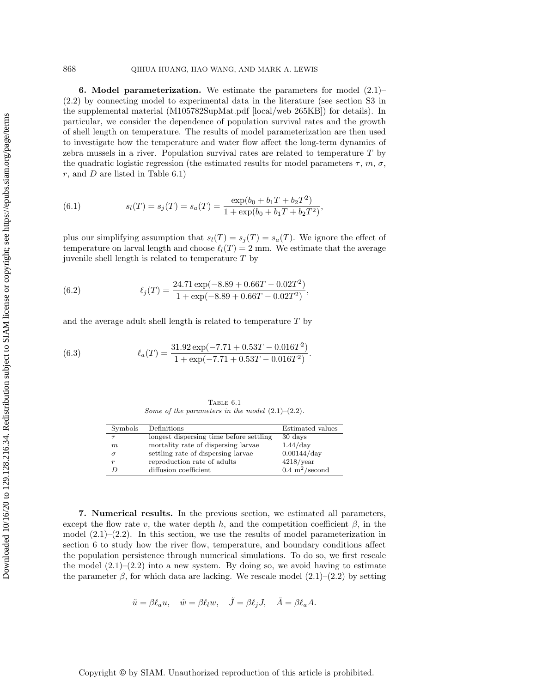## 868 QIHUA HUANG, HAO WANG, AND MARK A. LEWIS

<span id="page-14-0"></span>**6. Model parameterization.** We estimate the parameters for model  $(2.1)$ – [\(2.2\)](#page-4-0) by connecting model to experimental data in the literature (see section S3 in the supplemental material (M105782SupMat.pdf [\[local/](#page-0-0)[web](http://epubs.siam.org/doi/suppl/10.1137/16M1057826/suppl_file/M105782SupMat.pdf) 265KB]) for details). In particular, we consider the dependence of population survival rates and the growth of shell length on temperature. The results of model parameterization are then used to investigate how the temperature and water flow affect the long-term dynamics of zebra mussels in a river. Population survival rates are related to temperature T by the quadratic logistic regression (the estimated results for model parameters  $\tau$ ,  $m$ ,  $\sigma$ ,  $r$ , and  $D$  are listed in Table [6.1\)](#page-14-2)

<span id="page-14-3"></span>(6.1) 
$$
s_l(T) = s_j(T) = s_a(T) = \frac{\exp(b_0 + b_1 T + b_2 T^2)}{1 + \exp(b_0 + b_1 T + b_2 T^2)},
$$

plus our simplifying assumption that  $s_l(T) = s_j(T) = s_a(T)$ . We ignore the effect of temperature on larval length and choose  $\ell_l(T) = 2$  mm. We estimate that the average juvenile shell length is related to temperature  $T$  by

<span id="page-14-4"></span>(6.2) 
$$
\ell_j(T) = \frac{24.71 \exp(-8.89 + 0.66T - 0.02T^2)}{1 + \exp(-8.89 + 0.66T - 0.02T^2)},
$$

and the average adult shell length is related to temperature  $T$  by

<span id="page-14-2"></span>(6.3) 
$$
\ell_a(T) = \frac{31.92 \exp(-7.71 + 0.53T - 0.016T^2)}{1 + \exp(-7.71 + 0.53T - 0.016T^2)}.
$$

<span id="page-14-5"></span>TABLE  $6.1$ Some of the parameters in the model  $(2.1)$ – $(2.2)$ .

| Symbols  | Definitions                             | Estimated values             |
|----------|-----------------------------------------|------------------------------|
|          | longest dispersing time before settling | 30 days                      |
| m        | mortality rate of dispersing larvae     | $1.44/\text{day}$            |
| $\sigma$ | settling rate of dispersing larvae      | 0.00144/day                  |
|          | reproduction rate of adults             | $4218/\text{year}$           |
|          | diffusion coefficient                   | $0.4~{\rm m}^2/{\rm second}$ |

<span id="page-14-1"></span>7. Numerical results. In the previous section, we estimated all parameters, except the flow rate v, the water depth h, and the competition coefficient  $\beta$ , in the model  $(2.1)$ – $(2.2)$ . In this section, we use the results of model parameterization in section [6](#page-14-0) to study how the river flow, temperature, and boundary conditions affect the population persistence through numerical simulations. To do so, we first rescale the model  $(2.1)$ – $(2.2)$  into a new system. By doing so, we avoid having to estimate the parameter  $\beta$ , for which data are lacking. We rescale model  $(2.1)$ – $(2.2)$  by setting

$$
\tilde{u} = \beta \ell_a u, \quad \tilde{w} = \beta \ell_l w, \quad \tilde{J} = \beta \ell_j J, \quad \tilde{A} = \beta \ell_a A.
$$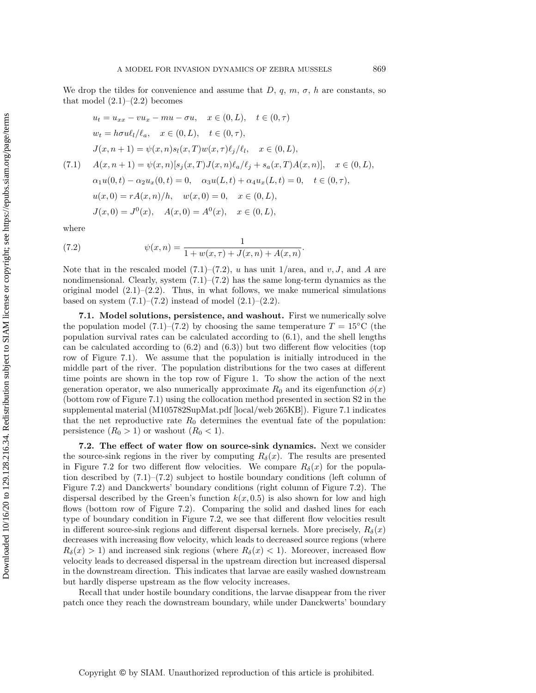We drop the tildes for convenience and assume that  $D, q, m, \sigma, h$  are constants, so that model  $(2.1)$ – $(2.2)$  becomes

<span id="page-15-0"></span>
$$
u_t = u_{xx} - vu_x - mu - \sigma u, \quad x \in (0, L), \quad t \in (0, \tau)
$$
  
\n
$$
w_t = h \sigma u \ell_l / \ell_a, \quad x \in (0, L), \quad t \in (0, \tau),
$$
  
\n
$$
J(x, n + 1) = \psi(x, n) s_l(x, T) w(x, \tau) \ell_j / \ell_l, \quad x \in (0, L),
$$
  
\n(7.1) 
$$
A(x, n + 1) = \psi(x, n) [s_j(x, T) J(x, n) \ell_a / \ell_j + s_a(x, T) A(x, n)], \quad x \in (0, L),
$$
  
\n
$$
\alpha_1 u(0, t) - \alpha_2 u_x(0, t) = 0, \quad \alpha_3 u(L, t) + \alpha_4 u_x(L, t) = 0, \quad t \in (0, \tau),
$$
  
\n
$$
u(x, 0) = r A(x, n) / h, \quad w(x, 0) = 0, \quad x \in (0, L),
$$
  
\n
$$
J(x, 0) = J^0(x), \quad A(x, 0) = A^0(x), \quad x \in (0, L),
$$

where

<span id="page-15-1"></span>(7.2) 
$$
\psi(x,n) = \frac{1}{1 + w(x,\tau) + J(x,n) + A(x,n)}
$$

Note that in the rescaled model  $(7.1)$ – $(7.2)$ , u has unit 1/area, and v, J, and A are nondimensional. Clearly, system  $(7.1)$ – $(7.2)$  has the same long-term dynamics as the original model  $(2.1)$ – $(2.2)$ . Thus, in what follows, we make numerical simulations based on system  $(7.1)$ – $(7.2)$  instead of model  $(2.1)$ – $(2.2)$ .

.

7.1. Model solutions, persistence, and washout. First we numerically solve the population model [\(7.1\)](#page-15-0)–[\(7.2\)](#page-15-1) by choosing the same temperature  $T = 15$ °C (the population survival rates can be calculated according to [\(6.1\)](#page-14-3), and the shell lengths can be calculated according to  $(6.2)$  and  $(6.3)$ ) but two different flow velocities (top row of Figure [7.1\)](#page-16-0). We assume that the population is initially introduced in the middle part of the river. The population distributions for the two cases at different time points are shown in the top row of Figure 1. To show the action of the next generation operator, we also numerically approximate  $R_0$  and its eigenfunction  $\phi(x)$ (bottom row of Figure [7.1\)](#page-16-0) using the collocation method presented in section S2 in the supplemental material (M105782SupMat.pdf [\[local/](#page-0-0)[web](http://epubs.siam.org/doi/suppl/10.1137/16M1057826/suppl_file/M105782SupMat.pdf) 265KB]). Figure [7.1](#page-16-0) indicates that the net reproductive rate  $R_0$  determines the eventual fate of the population: persistence  $(R_0 > 1)$  or washout  $(R_0 < 1)$ .

7.2. The effect of water flow on source-sink dynamics. Next we consider the source-sink regions in the river by computing  $R_{\delta}(x)$ . The results are presented in Figure [7.2](#page-17-0) for two different flow velocities. We compare  $R_{\delta}(x)$  for the population described by  $(7.1)$ – $(7.2)$  subject to hostile boundary conditions (left column of Figure [7.2\)](#page-17-0) and Danckwerts' boundary conditions (right column of Figure [7.2\)](#page-17-0). The dispersal described by the Green's function  $k(x, 0.5)$  is also shown for low and high flows (bottom row of Figure [7.2\)](#page-17-0). Comparing the solid and dashed lines for each type of boundary condition in Figure [7.2,](#page-17-0) we see that different flow velocities result in different source-sink regions and different dispersal kernels. More precisely,  $R_{\delta}(x)$ decreases with increasing flow velocity, which leads to decreased source regions (where  $R_\delta(x) > 1$ ) and increased sink regions (where  $R_\delta(x) < 1$ ). Moreover, increased flow velocity leads to decreased dispersal in the upstream direction but increased dispersal in the downstream direction. This indicates that larvae are easily washed downstream but hardly disperse upstream as the flow velocity increases.

Recall that under hostile boundary conditions, the larvae disappear from the river patch once they reach the downstream boundary, while under Danckwerts' boundary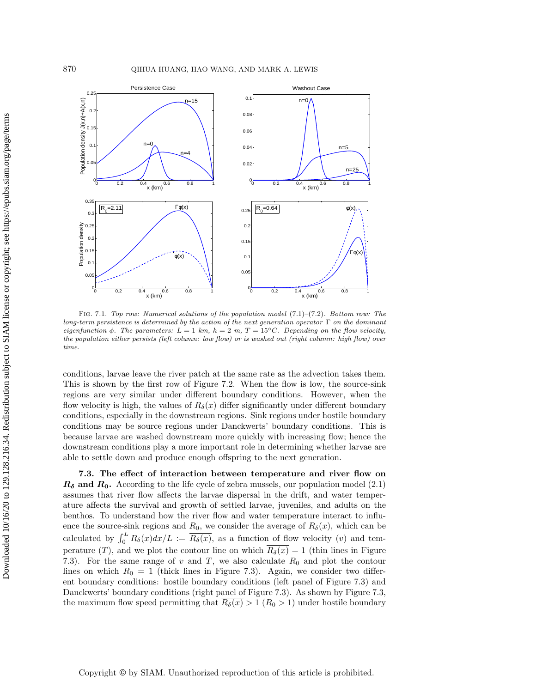<span id="page-16-0"></span>

FIG. 7.1. Top row: Numerical solutions of the population model  $(7.1)$ – $(7.2)$ . Bottom row: The long-term persistence is determined by the action of the next generation operator  $\Gamma$  on the dominant eigenfunction φ. The parameters:  $L = 1$  km,  $h = 2$  m,  $T = 15^{\circ}$ C. Depending on the flow velocity, the population either persists (left column: low flow) or is washed out (right column: high flow) over time.

conditions, larvae leave the river patch at the same rate as the advection takes them. This is shown by the first row of Figure [7.2.](#page-17-0) When the flow is low, the source-sink regions are very similar under different boundary conditions. However, when the flow velocity is high, the values of  $R_{\delta}(x)$  differ significantly under different boundary conditions, especially in the downstream regions. Sink regions under hostile boundary conditions may be source regions under Danckwerts' boundary conditions. This is because larvae are washed downstream more quickly with increasing flow; hence the downstream conditions play a more important role in determining whether larvae are able to settle down and produce enough offspring to the next generation.

7.3. The effect of interaction between temperature and river flow on  $\mathbb{R}_{\delta}$  and  $\mathbb{R}_{0}$ . According to the life cycle of zebra mussels, our population model [\(2.1\)](#page-3-0) assumes that river flow affects the larvae dispersal in the drift, and water temperature affects the survival and growth of settled larvae, juveniles, and adults on the benthos. To understand how the river flow and water temperature interact to influence the source-sink regions and  $R_0$ , we consider the average of  $R_\delta(x)$ , which can be calculated by  $\int_0^L R_\delta(x) dx/L := \overline{R_\delta(x)}$ , as a function of flow velocity (v) and temperature (T), and we plot the contour line on which  $\overline{R_\delta(x)} = 1$  (thin lines in Figure [7.3\)](#page-17-1). For the same range of  $v$  and  $T$ , we also calculate  $R_0$  and plot the contour lines on which  $R_0 = 1$  (thick lines in Figure [7.3\)](#page-17-1). Again, we consider two different boundary conditions: hostile boundary conditions (left panel of Figure [7.3\)](#page-17-1) and Danckwerts' boundary conditions (right panel of Figure [7.3\)](#page-17-1). As shown by Figure [7.3,](#page-17-1) the maximum flow speed permitting that  $R_\delta(x) > 1$  ( $R_0 > 1$ ) under hostile boundary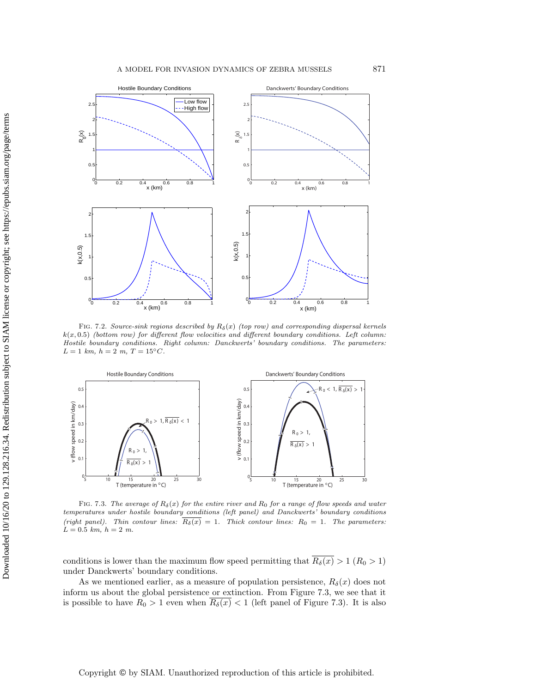<span id="page-17-0"></span>

FIG. 7.2. Source-sink regions described by  $R_{\delta}(x)$  (top row) and corresponding dispersal kernels  $k(x, 0.5)$  (bottom row) for different flow velocities and different boundary conditions. Left column: Hostile boundary conditions. Right column: Danckwerts' boundary conditions. The parameters:  $L=1\ km,\ h=2\ m,\ T=15^{\circ}C.$ 

<span id="page-17-1"></span>

FIG. 7.3. The average of  $R_\delta(x)$  for the entire river and  $R_0$  for a range of flow speeds and water temperatures under hostile boundary conditions (left panel) and Danckwerts' boundary conditions (right panel). Thin contour lines:  $R_{\delta}(x) = 1$ . Thick contour lines:  $R_0 = 1$ . The parameters:  $L=0.5\ km,\ h=2\ m.$ 

conditions is lower than the maximum flow speed permitting that  $\overline{R_\delta(x)} > 1$  ( $R_0 > 1$ ) under Danckwerts' boundary conditions.

As we mentioned earlier, as a measure of population persistence,  $R_{\delta}(x)$  does not inform us about the global persistence or extinction. From Figure [7.3,](#page-17-1) we see that it is possible to have  $R_0 > 1$  even when  $R_\delta(x) < 1$  (left panel of Figure [7.3\)](#page-17-1). It is also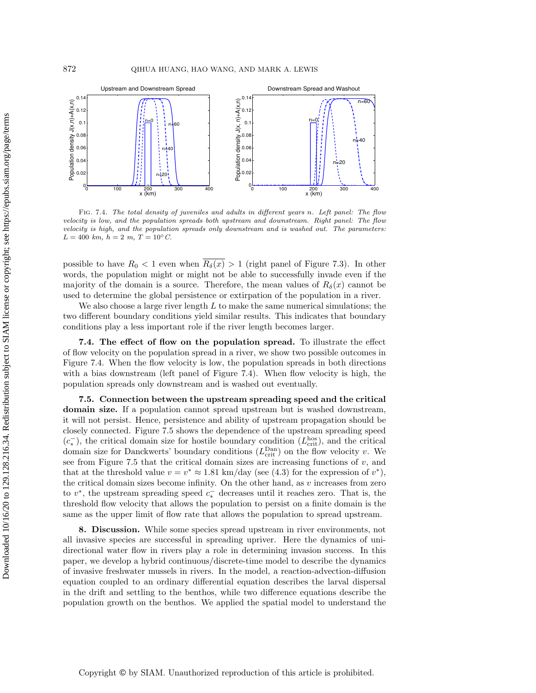<span id="page-18-0"></span>

Fig. 7.4. The total density of juveniles and adults in different years n. Left panel: The flow velocity is low, and the population spreads both upstream and downstream. Right panel: The flow velocity is high, and the population spreads only downstream and is washed out. The parameters:  $L = 400 \; km, \; h = 2 \; m, \; T = 10^{\circ} \, C.$ 

possible to have  $R_0 < 1$  even when  $R_\delta(x) > 1$  (right panel of Figure [7.3\)](#page-17-1). In other words, the population might or might not be able to successfully invade even if the majority of the domain is a source. Therefore, the mean values of  $R_\delta(x)$  cannot be used to determine the global persistence or extirpation of the population in a river.

We also choose a large river length  $L$  to make the same numerical simulations; the two different boundary conditions yield similar results. This indicates that boundary conditions play a less important role if the river length becomes larger.

7.4. The effect of flow on the population spread. To illustrate the effect of flow velocity on the population spread in a river, we show two possible outcomes in Figure [7.4.](#page-18-0) When the flow velocity is low, the population spreads in both directions with a bias downstream (left panel of Figure [7.4\)](#page-18-0). When flow velocity is high, the population spreads only downstream and is washed out eventually.

7.5. Connection between the upstream spreading speed and the critical domain size. If a population cannot spread upstream but is washed downstream, it will not persist. Hence, persistence and ability of upstream propagation should be closely connected. Figure [7.5](#page-19-0) shows the dependence of the upstream spreading speed  $(c_*^-)$ , the critical domain size for hostile boundary condition  $(L_{\text{crit}}^{\text{bos}})$ , and the critical domain size for Danckwerts' boundary conditions  $(L_{\text{crit}}^{\text{Dan}})$  on the flow velocity v. We see from Figure [7.5](#page-19-0) that the critical domain sizes are increasing functions of  $v$ , and that at the threshold value  $v = v^* \approx 1.81 \text{ km/day}$  (see [\(4.3\)](#page-10-3) for the expression of  $v^*$ ), the critical domain sizes become infinity. On the other hand, as  $v$  increases from zero to  $v^*$ , the upstream spreading speed  $c_*^-$  decreases until it reaches zero. That is, the threshold flow velocity that allows the population to persist on a finite domain is the same as the upper limit of flow rate that allows the population to spread upstream.

8. Discussion. While some species spread upstream in river environments, not all invasive species are successful in spreading upriver. Here the dynamics of unidirectional water flow in rivers play a role in determining invasion success. In this paper, we develop a hybrid continuous/discrete-time model to describe the dynamics of invasive freshwater mussels in rivers. In the model, a reaction-advection-diffusion equation coupled to an ordinary differential equation describes the larval dispersal in the drift and settling to the benthos, while two difference equations describe the population growth on the benthos. We applied the spatial model to understand the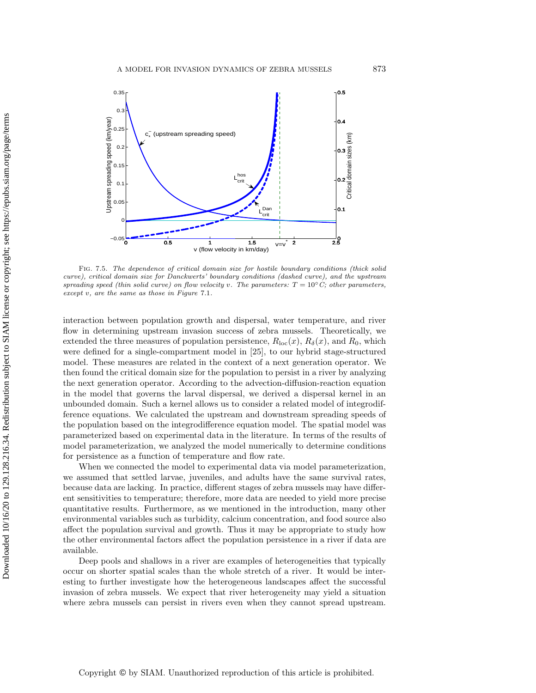<span id="page-19-0"></span>

Fig. 7.5. The dependence of critical domain size for hostile boundary conditions (thick solid curve), critical domain size for Danckwerts' boundary conditions (dashed curve), and the upstream spreading speed (thin solid curve) on flow velocity v. The parameters:  $T = 10\degree C$ ; other parameters, except v, are the same as those in Figure [7.1](#page-16-0).

interaction between population growth and dispersal, water temperature, and river flow in determining upstream invasion success of zebra mussels. Theoretically, we extended the three measures of population persistence,  $R_{\text{loc}}(x)$ ,  $R_{\delta}(x)$ , and  $R_0$ , which were defined for a single-compartment model in [\[25\]](#page-26-8), to our hybrid stage-structured model. These measures are related in the context of a next generation operator. We then found the critical domain size for the population to persist in a river by analyzing the next generation operator. According to the advection-diffusion-reaction equation in the model that governs the larval dispersal, we derived a dispersal kernel in an unbounded domain. Such a kernel allows us to consider a related model of integrodifference equations. We calculated the upstream and downstream spreading speeds of the population based on the integrodifference equation model. The spatial model was parameterized based on experimental data in the literature. In terms of the results of model parameterization, we analyzed the model numerically to determine conditions for persistence as a function of temperature and flow rate.

When we connected the model to experimental data via model parameterization, we assumed that settled larvae, juveniles, and adults have the same survival rates, because data are lacking. In practice, different stages of zebra mussels may have different sensitivities to temperature; therefore, more data are needed to yield more precise quantitative results. Furthermore, as we mentioned in the introduction, many other environmental variables such as turbidity, calcium concentration, and food source also affect the population survival and growth. Thus it may be appropriate to study how the other environmental factors affect the population persistence in a river if data are available.

Deep pools and shallows in a river are examples of heterogeneities that typically occur on shorter spatial scales than the whole stretch of a river. It would be interesting to further investigate how the heterogeneous landscapes affect the successful invasion of zebra mussels. We expect that river heterogeneity may yield a situation where zebra mussels can persist in rivers even when they cannot spread upstream.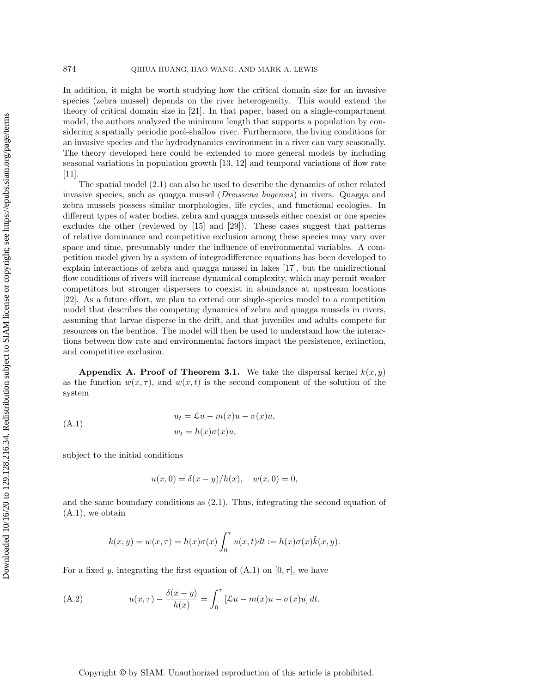In addition, it might be worth studying how the critical domain size for an invasive species (zebra mussel) depends on the river heterogeneity. This would extend the theory of critical domain size in [\[21\]](#page-26-10). In that paper, based on a single-compartment model, the authors analyzed the minimum length that supports a population by considering a spatially periodic pool-shallow river. Furthermore, the living conditions for an invasive species and the hydrodynamics environment in a river can vary seasonally. The theory developed here could be extended to more general models by including seasonal variations in population growth [\[13,](#page-25-10) [12\]](#page-25-11) and temporal variations of flow rate [\[11\]](#page-25-12).

The spatial model [\(2.1\)](#page-3-0) can also be used to describe the dynamics of other related invasive species, such as quagga mussel (Dreissena bugensis) in rivers. Quagga and zebra mussels possess similar morphologies, life cycles, and functional ecologies. In different types of water bodies, zebra and quagga mussels either coexist or one species excludes the other (reviewed by [\[15\]](#page-26-18) and [\[29\]](#page-26-19)). These cases suggest that patterns of relative dominance and competitive exclusion among these species may vary over space and time, presumably under the influence of environmental variables. A competition model given by a system of integrodifference equations has been developed to explain interactions of zebra and quagga mussel in lakes [\[17\]](#page-26-7), but the unidirectional flow conditions of rivers will increase dynamical complexity, which may permit weaker competitors but stronger dispersers to coexist in abundance at upstream locations [\[22\]](#page-26-20). As a future effort, we plan to extend our single-species model to a competition model that describes the competing dynamics of zebra and quagga mussels in rivers, assuming that larvae disperse in the drift, and that juveniles and adults compete for resources on the benthos. The model will then be used to understand how the interactions between flow rate and environmental factors impact the persistence, extinction, and competitive exclusion.

<span id="page-20-0"></span>Appendix A. Proof of Theorem [3.1.](#page-6-2) We take the dispersal kernel  $k(x, y)$ as the function  $w(x, \tau)$ , and  $w(x, t)$  is the second component of the solution of the system

(A.1) 
$$
u_t = \mathcal{L}u - m(x)u - \sigma(x)u,
$$

$$
w_t = h(x)\sigma(x)u,
$$

subject to the initial conditions

<span id="page-20-1"></span>
$$
u(x,0) = \delta(x-y)/h(x), \quad w(x,0) = 0,
$$

and the same boundary conditions as [\(2.1\)](#page-3-0). Thus, integrating the second equation of [\(A.1\)](#page-20-1), we obtain

<span id="page-20-2"></span>
$$
k(x,y) = w(x,\tau) = h(x)\sigma(x)\int_0^{\tau} u(x,t)dt := h(x)\sigma(x)\tilde{k}(x,y).
$$

For a fixed y, integrating the first equation of  $(A.1)$  on  $[0, \tau]$ , we have

(A.2) 
$$
u(x,\tau) - \frac{\delta(x-y)}{h(x)} = \int_0^{\tau} \left[\mathcal{L}u - m(x)u - \sigma(x)u\right] dt.
$$

Copyright © by SIAM. Unauthorized reproduction of this article is prohibited.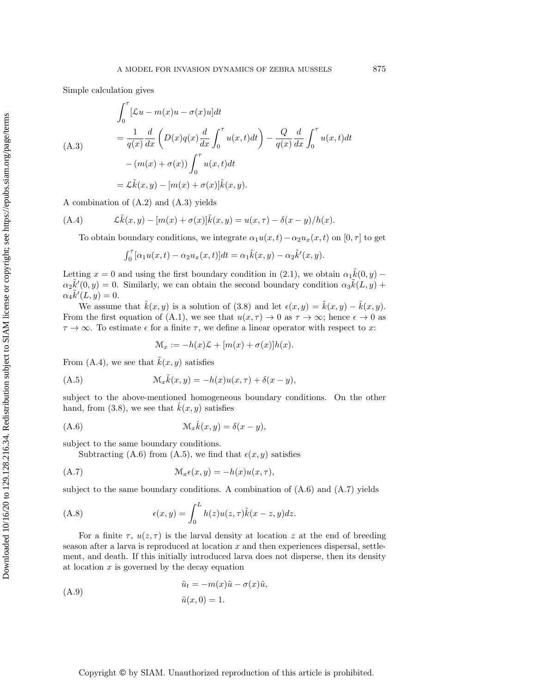Simple calculation gives

<span id="page-21-0"></span>
$$
\int_0^\tau [\mathcal{L}u - m(x)u - \sigma(x)u]dt
$$
\n
$$
= \frac{1}{q(x)} \frac{d}{dx} \left( D(x)q(x) \frac{d}{dx} \int_0^\tau u(x,t)dt \right) - \frac{Q}{q(x)} \frac{d}{dx} \int_0^\tau u(x,t)dt
$$
\n
$$
- (m(x) + \sigma(x)) \int_0^\tau u(x,t)dt
$$
\n
$$
= \mathcal{L}\tilde{k}(x,y) - [m(x) + \sigma(x)]\tilde{k}(x,y).
$$

A combination of [\(A.2\)](#page-20-2) and [\(A.3\)](#page-21-0) yields

(A.4) 
$$
\mathcal{L}\tilde{k}(x,y) - [m(x) + \sigma(x)]\tilde{k}(x,y) = u(x,\tau) - \delta(x-y)/h(x).
$$

To obtain boundary conditions, we integrate  $\alpha_1u(x,t)-\alpha_2u_x(x,t)$  on  $[0, \tau]$  to get

<span id="page-21-1"></span>
$$
\int_0^\tau [\alpha_1 u(x,t) - \alpha_2 u_x(x,t)]dt = \alpha_1 \tilde{k}(x,y) - \alpha_2 \tilde{k}'(x,y).
$$

Letting  $x = 0$  and using the first boundary condition in [\(2.1\)](#page-3-0), we obtain  $\alpha_1 \tilde{k}(0, y)$  –  $\alpha_2 \tilde{k}'(0, y) = 0$ . Similarly, we can obtain the second boundary condition  $\alpha_3 \tilde{k}(L, y)$  +  $\alpha_4 \tilde{k}'(L, y) = 0.$ 

We assume that  $\hat{k}(x, y)$  is a solution of [\(3.8\)](#page-6-3) and let  $\epsilon(x, y) = \hat{k}(x, y) - \hat{k}(x, y)$ . From the first equation of [\(A.1\)](#page-20-1), we see that  $u(x, \tau) \to 0$  as  $\tau \to \infty$ ; hence  $\epsilon \to 0$  as  $\tau \to \infty$ . To estimate  $\epsilon$  for a finite  $\tau$ , we define a linear operator with respect to x:

<span id="page-21-3"></span><span id="page-21-2"></span>
$$
\mathcal{M}_x := -h(x)\mathcal{L} + [m(x) + \sigma(x)]h(x).
$$

From [\(A.4\)](#page-21-1), we see that  $\tilde{k}(x, y)$  satisfies

(A.5) 
$$
\mathcal{M}_x \tilde{k}(x, y) = -h(x)u(x, \tau) + \delta(x - y),
$$

subject to the above-mentioned homogeneous boundary conditions. On the other hand, from [\(3.8\)](#page-6-3), we see that  $\hat{k}(x, y)$  satisfies

(A.6) M<sup>x</sup> ˆk(x, y) = δ(x − y),

subject to the same boundary conditions.

<span id="page-21-4"></span>Subtracting [\(A.6\)](#page-21-2) from [\(A.5\)](#page-21-3), we find that  $\epsilon(x, y)$  satisfies

$$
\mathcal{M}_x \epsilon(x, y) = -h(x)u(x, \tau),
$$

subject to the same boundary conditions. A combination of  $(A.6)$  and  $(A.7)$  yields

(A.8) 
$$
\epsilon(x,y) = \int_0^L h(z)u(z,\tau)\hat{k}(x-z,y)dz.
$$

For a finite  $\tau$ ,  $u(z, \tau)$  is the larval density at location z at the end of breeding season after a larva is reproduced at location  $x$  and then experiences dispersal, settlement, and death. If this initially introduced larva does not disperse, then its density at location  $x$  is governed by the decay equation

(A.9) 
$$
\tilde{u}_t = -m(x)\tilde{u} - \sigma(x)\tilde{u},
$$

$$
\tilde{u}(x,0) = 1.
$$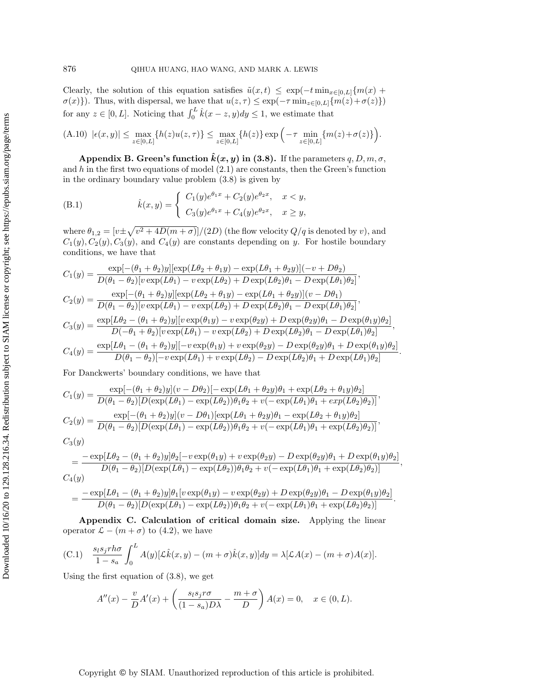Clearly, the solution of this equation satisfies  $\tilde{u}(x,t) \leq \exp(-t \min_{x \in [0,L]} \{m(x) +$  $\sigma(x)$ ). Thus, with dispersal, we have that  $u(z, \tau) \leq \exp(-\tau \min_{z \in [0,L]} \{m(z) + \sigma(z)\})$ for any  $z \in [0, L]$ . Noticing that  $\int_0^L \hat{k}(x - z, y) dy \le 1$ , we estimate that

$$
(A.10) \ |\epsilon(x,y)| \leq \max_{z \in [0,L]} \{h(z)u(z,\tau)\} \leq \max_{z \in [0,L]} \{h(z)\} \exp\left(-\tau \min_{z \in [0,L]} \{m(z)+\sigma(z)\}\right).
$$

<span id="page-22-0"></span>Appendix B. Green's function  $\hat{k}(x, y)$  in [\(3.8\)](#page-6-3). If the parameters  $q, D, m, \sigma$ , and  $h$  in the first two equations of model  $(2.1)$  are constants, then the Green's function in the ordinary boundary value problem [\(3.8\)](#page-6-3) is given by

(B.1) 
$$
\hat{k}(x,y) = \begin{cases} C_1(y)e^{\theta_1 x} + C_2(y)e^{\theta_2 x}, & x < y, \\ C_3(y)e^{\theta_1 x} + C_4(y)e^{\theta_2 x}, & x \ge y, \end{cases}
$$

where  $\theta_{1,2} = \left[ \nu \pm \sqrt{\nu^2 + 4D(m+\sigma)} \right] / (2D)$  (the flow velocity  $Q/q$  is denoted by v), and  $C_1(y), C_2(y), C_3(y)$ , and  $C_4(y)$  are constants depending on y. For hostile boundary conditions, we have that

$$
C_1(y) = \frac{\exp[-(\theta_1 + \theta_2)y][\exp(L\theta_2 + \theta_1y) - \exp(L\theta_1 + \theta_2y)](-v + D\theta_2)}{D(\theta_1 - \theta_2)[v \exp(L\theta_1) - v \exp(L\theta_2) + D \exp(L\theta_2)\theta_1 - D \exp(L\theta_1)\theta_2]},
$$
  
\n
$$
C_2(y) = \frac{\exp[-(\theta_1 + \theta_2)y][\exp(L\theta_2 + \theta_1y) - \exp(L\theta_1 + \theta_2y)](v - D\theta_1)}{D(\theta_1 - \theta_2)[v \exp(L\theta_1) - v \exp(L\theta_2) + D \exp(L\theta_2)\theta_1 - D \exp(L\theta_1)\theta_2]},
$$
  
\n
$$
C_3(y) = \frac{\exp[L\theta_2 - (\theta_1 + \theta_2)y][v \exp(\theta_1y) - v \exp(\theta_2y) + D \exp(\theta_2y)\theta_1 - D \exp(\theta_1y)\theta_2]}{D(-\theta_1 + \theta_2)[v \exp(L\theta_1) - v \exp(L\theta_2) + D \exp(L\theta_2)\theta_1 - D \exp(L\theta_1)\theta_2]},
$$

$$
C_4(y) = \frac{\exp[L\theta_1 - (\theta_1 + \theta_2)y] [-v \exp(\theta_1 y) + v \exp(\theta_2 y) - D \exp(\theta_2 y)\theta_1 + D \exp(\theta_1 y)\theta_2]}{D(\theta_1 - \theta_2)[-v \exp(L\theta_1) + v \exp(L\theta_2) - D \exp(L\theta_2)\theta_1 + D \exp(L\theta_1)\theta_2]}
$$

.

For Danckwerts' boundary conditions, we have that

$$
C_1(y) = \frac{\exp[-(\theta_1 + \theta_2)y](v - D\theta_2)] - \exp(L\theta_1 + \theta_2 y)\theta_1 + \exp(L\theta_2 + \theta_1 y)\theta_2]}{D(\theta_1 - \theta_2)[D(\exp(L\theta_1) - \exp(L\theta_2))\theta_1\theta_2 + v(-\exp(L\theta_1)\theta_1 + \exp(L\theta_2)\theta_2)]},
$$
  
\n
$$
C_2(y) = \frac{\exp[-(\theta_1 + \theta_2)y](v - D\theta_1)[\exp(L\theta_1 + \theta_2 y)\theta_1 - \exp(L\theta_2 + \theta_1 y)\theta_2]}{D(\theta_1 - \theta_2)[D(\exp(L\theta_1) - \exp(L\theta_2))\theta_1\theta_2 + v(-\exp(L\theta_1)\theta_1 + \exp(L\theta_2)\theta_2)]},
$$

$$
C_3(y)
$$

$$
=\frac{-\exp[L\theta_2-(\theta_1+\theta_2)y]\theta_2[-v\exp(\theta_1y)+v\exp(\theta_2y)-D\exp(\theta_2y)\theta_1+D\exp(\theta_1y)\theta_2]}{D(\theta_1-\theta_2)[D(\exp(L\theta_1)-\exp(L\theta_2))\theta_1\theta_2+v(-\exp(L\theta_1)\theta_1+\exp(L\theta_2)\theta_2)]},
$$
  

$$
C_4(y)
$$

$$
= \frac{-\exp[L\theta_1 - (\theta_1 + \theta_2)y]\theta_1[v\exp(\theta_1y) - v\exp(\theta_2y) + D\exp(\theta_2y)\theta_1 - D\exp(\theta_1y)\theta_2]}{D(\theta_1 - \theta_2)[D(\exp(L\theta_1) - \exp(L\theta_2))\theta_1\theta_2 + v(-\exp(L\theta_1)\theta_1 + \exp(L\theta_2)\theta_2)]}.
$$

<span id="page-22-1"></span>Appendix C. Calculation of critical domain size. Applying the linear operator  $\mathcal{L} - (m + \sigma)$  to [\(4.2\)](#page-9-2), we have

(C.1) 
$$
\frac{s_l s_j rh \sigma}{1 - s_a} \int_0^L A(y) [\mathcal{L}\hat{k}(x, y) - (m + \sigma)\hat{k}(x, y)] dy = \lambda [\mathcal{L}A(x) - (m + \sigma)A(x)].
$$

Using the first equation of [\(3.8\)](#page-6-3), we get

$$
A''(x) - \frac{v}{D}A'(x) + \left(\frac{s_l s_j r \sigma}{(1 - s_a) D \lambda} - \frac{m + \sigma}{D}\right) A(x) = 0, \quad x \in (0, L).
$$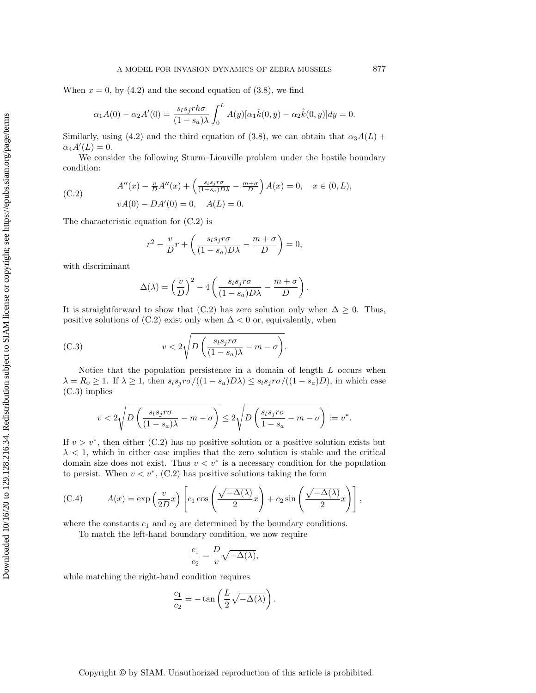When  $x = 0$ , by  $(4.2)$  and the second equation of  $(3.8)$ , we find

$$
\alpha_1 A(0) - \alpha_2 A'(0) = \frac{s_l s_j r h \sigma}{(1 - s_a)\lambda} \int_0^L A(y) [\alpha_1 \hat{k}(0, y) - \alpha_2 \hat{k}(0, y)] dy = 0.
$$

Similarly, using [\(4.2\)](#page-9-2) and the third equation of [\(3.8\)](#page-6-3), we can obtain that  $\alpha_3A(L)$  +  $\alpha_4 A'(L) = 0.$ 

We consider the following Sturm–Liouville problem under the hostile boundary condition:

<span id="page-23-0"></span>(C.2) 
$$
A''(x) - \frac{v}{D}A''(x) + \left(\frac{s_{l}s_{j}r\sigma}{(1-s_{a})D\lambda} - \frac{m+\sigma}{D}\right)A(x) = 0, \quad x \in (0, L),
$$

$$
vA(0) - DA'(0) = 0, \quad A(L) = 0.
$$

The characteristic equation for [\(C.2\)](#page-23-0) is

$$
r^{2} - \frac{v}{D}r + \left(\frac{s_{l}s_{j}r\sigma}{(1 - s_{a})D\lambda} - \frac{m + \sigma}{D}\right) = 0,
$$

with discriminant

<span id="page-23-1"></span>
$$
\Delta(\lambda) = \left(\frac{v}{D}\right)^2 - 4\left(\frac{s_l s_j r \sigma}{(1 - s_a) D \lambda} - \frac{m + \sigma}{D}\right).
$$

It is straightforward to show that [\(C.2\)](#page-23-0) has zero solution only when  $\Delta \geq 0$ . Thus, positive solutions of [\(C.2\)](#page-23-0) exist only when  $\Delta < 0$  or, equivalently, when

(C.3) 
$$
v < 2\sqrt{D\left(\frac{s_{l}s_{j}r\sigma}{(1-s_{a})\lambda}-m-\sigma\right)}.
$$

Notice that the population persistence in a domain of length  $L$  occurs when  $\lambda = R_0 \geq 1$ . If  $\lambda \geq 1$ , then  $s_l s_j r \sigma / ((1 - s_a) D \lambda) \leq s_l s_j r \sigma / ((1 - s_a) D)$ , in which case [\(C.3\)](#page-23-1) implies

$$
v < 2\sqrt{D\left(\frac{s_l s_j r \sigma}{(1-s_a)\lambda} - m - \sigma\right)} \le 2\sqrt{D\left(\frac{s_l s_j r \sigma}{1-s_a} - m - \sigma\right)} := v^*.
$$

If  $v > v^*$ , then either [\(C.2\)](#page-23-0) has no positive solution or a positive solution exists but  $\lambda$  < 1, which in either case implies that the zero solution is stable and the critical domain size does not exist. Thus  $v < v^*$  is a necessary condition for the population to persist. When  $v < v^*$ , [\(C.2\)](#page-23-0) has positive solutions taking the form

(C.4) 
$$
A(x) = \exp\left(\frac{v}{2D}x\right) \left[c_1 \cos\left(\frac{\sqrt{-\Delta(\lambda)}}{2}x\right) + c_2 \sin\left(\frac{\sqrt{-\Delta(\lambda)}}{2}x\right)\right],
$$

where the constants  $c_1$  and  $c_2$  are determined by the boundary conditions.

To match the left-hand boundary condition, we now require

$$
\frac{c_1}{c_2} = \frac{D}{v}\sqrt{-\Delta(\lambda)},
$$

while matching the right-hand condition requires

$$
\frac{c_1}{c_2} = -\tan\left(\frac{L}{2}\sqrt{-\Delta(\lambda)}\right).
$$

Copyright © by SIAM. Unauthorized reproduction of this article is prohibited.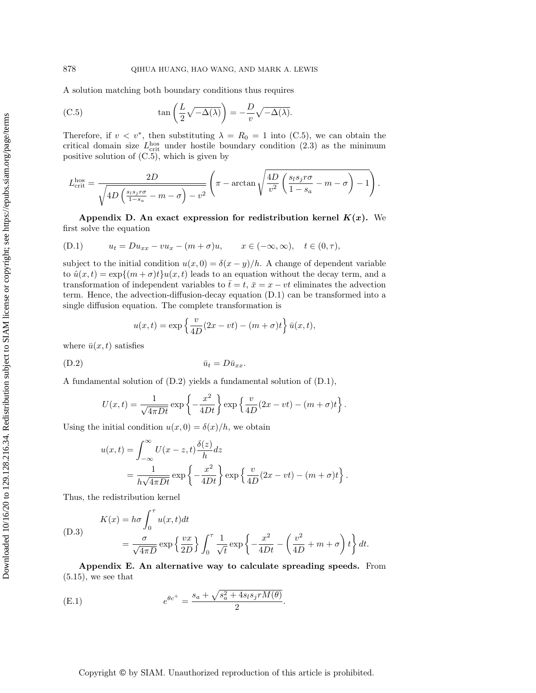A solution matching both boundary conditions thus requires

<span id="page-24-0"></span>(C.5) 
$$
\tan\left(\frac{L}{2}\sqrt{-\Delta(\lambda)}\right) = -\frac{D}{v}\sqrt{-\Delta(\lambda)}.
$$

Therefore, if  $v < v^*$ , then substituting  $\lambda = R_0 = 1$  into [\(C.5\)](#page-24-0), we can obtain the critical domain size  $L_{\text{crit}}^{\text{hos}}$  under hostile boundary condition [\(2.3\)](#page-4-1) as the minimum positive solution of [\(C.5\)](#page-24-0), which is given by

$$
L_{\rm crit}^{\rm hos} = \frac{2D}{\sqrt{4D\left(\frac{s_l s_j r \sigma}{1 - s_a} - m - \sigma\right) - v^2}} \left(\pi - \arctan\sqrt{\frac{4D}{v^2}\left(\frac{s_l s_j r \sigma}{1 - s_a} - m - \sigma\right) - 1}\right).
$$

<span id="page-24-1"></span>Appendix D. An exact expression for redistribution kernel  $K(x)$ . We first solve the equation

<span id="page-24-4"></span>(D.1) 
$$
u_t = Du_{xx} - vu_x - (m + \sigma)u, \qquad x \in (-\infty, \infty), \quad t \in (0, \tau),
$$

subject to the initial condition  $u(x, 0) = \delta(x - y)/h$ . A change of dependent variable to  $\hat{u}(x,t) = \exp\{(m+\sigma)t\}u(x,t)$  leads to an equation without the decay term, and a transformation of independent variables to  $\bar{t} = t$ ,  $\bar{x} = x - vt$  eliminates the advection term. Hence, the advection-diffusion-decay equation [\(D.1\)](#page-24-4) can be transformed into a single diffusion equation. The complete transformation is

<span id="page-24-5"></span>
$$
u(x,t) = \exp\left\{\frac{v}{4D}(2x - vt) - (m + \sigma)t\right\}\bar{u}(x,t),
$$

where  $\bar{u}(x, t)$  satisfies

$$
\bar{u}_t = D\bar{u}_{xx}.
$$

A fundamental solution of [\(D.2\)](#page-24-5) yields a fundamental solution of [\(D.1\)](#page-24-4),

$$
U(x,t) = \frac{1}{\sqrt{4\pi Dt}} \exp\left\{-\frac{x^2}{4Dt}\right\} \exp\left\{\frac{v}{4D}(2x - vt) - (m + \sigma)t\right\}.
$$

Using the initial condition  $u(x, 0) = \delta(x)/h$ , we obtain

$$
u(x,t) = \int_{-\infty}^{\infty} U(x-z,t) \frac{\delta(z)}{h} dz
$$
  
= 
$$
\frac{1}{h\sqrt{4\pi Dt}} \exp\left\{-\frac{x^2}{4Dt}\right\} \exp\left\{\frac{v}{4D}(2x-vt) - (m+\sigma)t\right\}.
$$

Thus, the redistribution kernel

<span id="page-24-2"></span>(D.3)  
\n
$$
K(x) = h\sigma \int_0^{\tau} u(x, t)dt
$$
\n
$$
= \frac{\sigma}{\sqrt{4\pi D}} \exp\left\{\frac{vx}{2D}\right\} \int_0^{\tau} \frac{1}{\sqrt{t}} \exp\left\{-\frac{x^2}{4Dt} - \left(\frac{v^2}{4D} + m + \sigma\right)t\right\} dt.
$$

<span id="page-24-3"></span>Appendix E. An alternative way to calculate spreading speeds. From  $(5.15)$ , we see that

<span id="page-24-6"></span>(E.1) 
$$
e^{\theta c^+} = \frac{s_a + \sqrt{s_a^2 + 4s_l s_j r M(\theta)}}{2}.
$$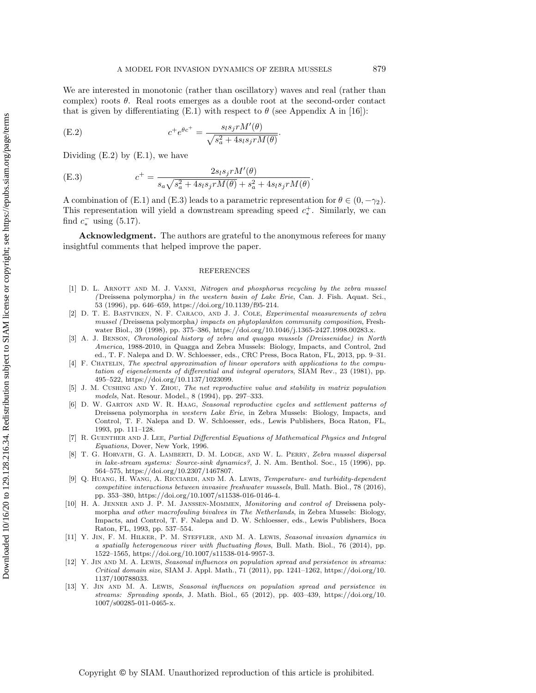We are interested in monotonic (rather than oscillatory) waves and real (rather than complex) roots  $\theta$ . Real roots emerges as a double root at the second-order contact that is given by differentiating [\(E.1\)](#page-24-6) with respect to  $\theta$  (see Appendix A in [\[16\]](#page-26-21)):

<span id="page-25-13"></span>(E.2) 
$$
c^+e^{\theta c^+} = \frac{s_l s_j r M'(\theta)}{\sqrt{s_a^2 + 4s_l s_j r M(\theta)}}.
$$

Dividing  $(E.2)$  by  $(E.1)$ , we have

<span id="page-25-14"></span>(E.3) 
$$
c^{+} = \frac{2s_{l}s_{j}rM'(\theta)}{s_{a}\sqrt{s_{a}^{2} + 4s_{l}s_{j}rM(\theta)} + s_{a}^{2} + 4s_{l}s_{j}rM(\theta)}.
$$

A combination of [\(E.1\)](#page-24-6) and [\(E.3\)](#page-25-14) leads to a parametric representation for  $\theta \in (0, -\gamma_2)$ . This representation will yield a downstream spreading speed  $c^*$ . Similarly, we can find  $c_*^-$  using [\(5.17\)](#page-13-3).

Acknowledgment. The authors are grateful to the anonymous referees for many insightful comments that helped improve the paper.

## REFERENCES

- <span id="page-25-2"></span>[1] D. L. ARNOTT AND M. J. VANNI, Nitrogen and phosphorus recycling by the zebra mussel ( Dreissena polymorpha) in the western basin of Lake Erie, Can. J. Fish. Aquat. Sci., 53 (1996), pp. 646–659, [https://doi.org/10.1139/f95-214.](https://doi.org/10.1139/f95-214)
- <span id="page-25-0"></span>[2] D. T. E. Bastviken, N. F. Caraco, and J. J. Cole, Experimental measurements of zebra mussel ( Dreissena polymorpha) impacts on phytoplankton community composition, Freshwater Biol., 39 (1998), pp. 375–386, [https://doi.org/10.1046/j.1365-2427.1998.00283.x.](https://doi.org/10.1046/j.1365-2427.1998.00283.x)
- <span id="page-25-4"></span>[3] A. J. Benson, Chronological history of zebra and quagga mussels (Dreissenidae) in North America, 1988-2010, in Quagga and Zebra Mussels: Biology, Impacts, and Control, 2nd ed., T. F. Nalepa and D. W. Schloesser, eds., CRC Press, Boca Raton, FL, 2013, pp. 9–31.
- <span id="page-25-9"></span>[4] F. CHATELIN, The spectral approximation of linear operators with applications to the computation of eigenelements of differential and integral operators, SIAM Rev., 23 (1981), pp. 495–522, [https://doi.org/10.1137/1023099.](https://doi.org/10.1137/1023099)
- <span id="page-25-7"></span>[5] J. M. Cushing and Y. Zhou, The net reproductive value and stability in matrix population models, Nat. Resour. Model., 8 (1994), pp. 297–333.
- <span id="page-25-1"></span>[6] D. W. Garton and W. R. Haag, Seasonal reproductive cycles and settlement patterns of Dreissena polymorpha in western Lake Erie, in Zebra Mussels: Biology, Impacts, and Control, T. F. Nalepa and D. W. Schloesser, eds., Lewis Publishers, Boca Raton, FL, 1993, pp. 111–128.
- <span id="page-25-8"></span>[7] R. Guenther and J. Lee, Partial Differential Equations of Mathematical Physics and Integral Equations, Dover, New York, 1996.
- <span id="page-25-5"></span>[8] T. G. HORVATH, G. A. LAMBERTI, D. M. LODGE, AND W. L. PERRY, Zebra mussel dispersal in lake-stream systems: Source-sink dynamics?, J. N. Am. Benthol. Soc., 15 (1996), pp. 564–575, [https://doi.org/10.2307/1467807.](https://doi.org/10.2307/1467807)
- <span id="page-25-6"></span>[9] Q. HUANG, H. WANG, A. RICCIARDI, AND M. A. LEWIS, Temperature- and turbidity-dependent competitive interactions between invasive freshwater mussels, Bull. Math. Biol., 78 (2016), pp. 353–380, [https://doi.org/10.1007/s11538-016-0146-4.](https://doi.org/10.1007/s11538-016-0146-4)
- <span id="page-25-3"></span>[10] H. A. Jenner and J. P. M. Janssen-Mommen, Monitoring and control of Dreissena polymorpha and other macrofouling bivalves in The Netherlands, in Zebra Mussels: Biology, Impacts, and Control, T. F. Nalepa and D. W. Schloesser, eds., Lewis Publishers, Boca Raton, FL, 1993, pp. 537–554.
- <span id="page-25-12"></span>[11] Y. Jin, F. M. Hilker, P. M. Steffler, and M. A. Lewis, Seasonal invasion dynamics in a spatially heterogeneous river with fluctuating flows, Bull. Math. Biol., 76 (2014), pp. 1522–1565, [https://doi.org/10.1007/s11538-014-9957-3.](https://doi.org/10.1007/s11538-014-9957-3)
- <span id="page-25-11"></span>[12] Y. JIN AND M. A. LEWIS, Seasonal influences on population spread and persistence in streams: Critical domain size, SIAM J. Appl. Math., 71 (2011), pp. 1241–1262, [https://doi.org/10.](https://doi.org/10.1137/100788033) [1137/100788033.](https://doi.org/10.1137/100788033)
- <span id="page-25-10"></span>[13] Y. Jin and M. A. Lewis, Seasonal influences on population spread and persistence in streams: Spreading speeds, J. Math. Biol., 65 (2012), pp. 403–439, [https://doi.org/10.](https://doi.org/10.1007/s00285-011-0465-x) [1007/s00285-011-0465-x.](https://doi.org/10.1007/s00285-011-0465-x)

Copyright © by SIAM. Unauthorized reproduction of this article is prohibited.